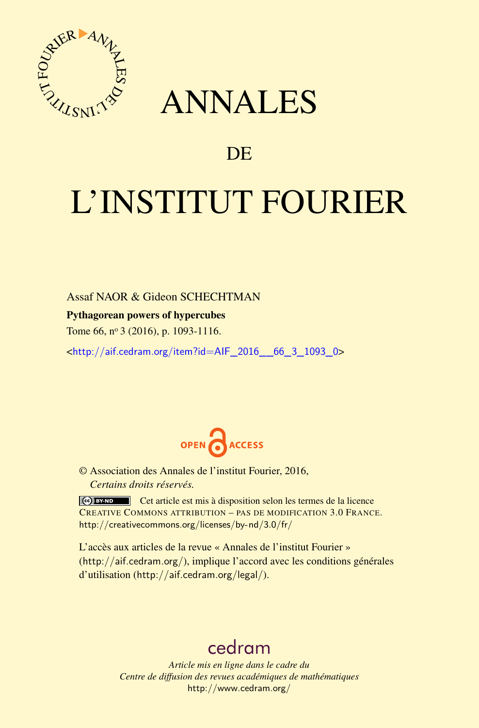

## ANNALES

### **DE**

# L'INSTITUT FOURIER

#### Assaf NAOR & Gideon SCHECHTMAN

Pythagorean powers of hypercubes

Tome 66, nº 3 (2016), p. 1093-1116.

<[http://aif.cedram.org/item?id=AIF\\_2016\\_\\_66\\_3\\_1093\\_0](http://aif.cedram.org/item?id=AIF_2016__66_3_1093_0)>



© Association des Annales de l'institut Fourier, 2016, *Certains droits réservés.*

Cet article est mis à disposition selon les termes de la licence CREATIVE COMMONS ATTRIBUTION – PAS DE MODIFICATION 3.0 FRANCE. <http://creativecommons.org/licenses/by-nd/3.0/fr/>

L'accès aux articles de la revue « Annales de l'institut Fourier » (<http://aif.cedram.org/>), implique l'accord avec les conditions générales d'utilisation (<http://aif.cedram.org/legal/>).

## [cedram](http://www.cedram.org/)

*Article mis en ligne dans le cadre du Centre de diffusion des revues académiques de mathématiques* <http://www.cedram.org/>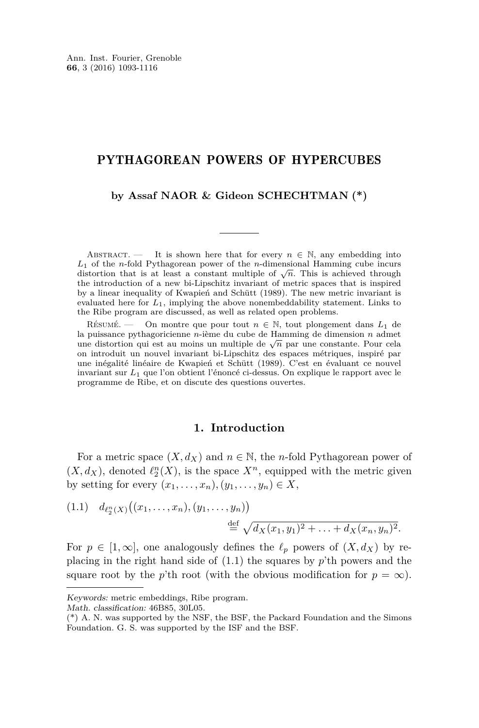#### PYTHAGOREAN POWERS OF HYPERCUBES

#### **by Assaf NAOR & Gideon SCHECHTMAN (\*)**

ABSTRACT. — It is shown here that for every  $n \in \mathbb{N}$ , any embedding into *L*<sup>1</sup> of the *n*-fold Pythagorean power of the *n*-dimensional Hamming cube incurs  $L_1$  of the *n*-lold r ythagotean power of the *n*-dimensional riamming clube incursed distortion that is at least a constant multiple of  $\sqrt{n}$ . This is achieved through the introduction of a new bi-Lipschitz invariant of metric spaces that is inspired by a linear inequality of Kwapień and Schütt (1989). The new metric invariant is evaluated here for *L*1, implying the above nonembeddability statement. Links to the Ribe program are discussed, as well as related open problems.

RÉSUMÉ. — On montre que pour tout  $n \in \mathbb{N}$ , tout plongement dans  $L_1$  de la puissance pythagoricienne *n*-ième du cube de Hamming de dimension *n* admet a pussance pythagonicienne *n*-ieme du cube de Hamming de dimension *n* admet une distortion qui est au moins un multiple de  $\sqrt{n}$  par une constante. Pour cela on introduit un nouvel invariant bi-Lipschitz des espaces métriques, inspiré par une inégalité linéaire de Kwapień et Schütt (1989). C'est en évaluant ce nouvel invariant sur *L*<sup>1</sup> que l'on obtient l'énoncé ci-dessus. On explique le rapport avec le programme de Ribe, et on discute des questions ouvertes.

#### **1. Introduction**

For a metric space  $(X, d_X)$  and  $n \in \mathbb{N}$ , the *n*-fold Pythagorean power of  $(X, d_X)$ , denoted  $\ell_2^n(X)$ , is the space  $X^n$ , equipped with the metric given by setting for every  $(x_1, \ldots, x_n), (y_1, \ldots, y_n) \in X$ ,

<span id="page-1-0"></span>(1.1) 
$$
d_{\ell_2^n(X)}((x_1,\ldots,x_n),(y_1,\ldots,y_n))
$$
  

$$
\stackrel{\text{def}}{=} \sqrt{d_X(x_1,y_1)^2+\ldots+d_X(x_n,y_n)^2}.
$$

For  $p \in [1, \infty]$ , one analogously defines the  $\ell_p$  powers of  $(X, d_X)$  by replacing in the right hand side of [\(1.1\)](#page-1-0) the squares by *p*'th powers and the square root by the *p*'th root (with the obvious modification for  $p = \infty$ ).

Math. classification: 46B85, 30L05.

Keywords: metric embeddings, Ribe program.

<sup>(\*)</sup> A. N. was supported by the NSF, the BSF, the Packard Foundation and the Simons Foundation. G. S. was supported by the ISF and the BSF.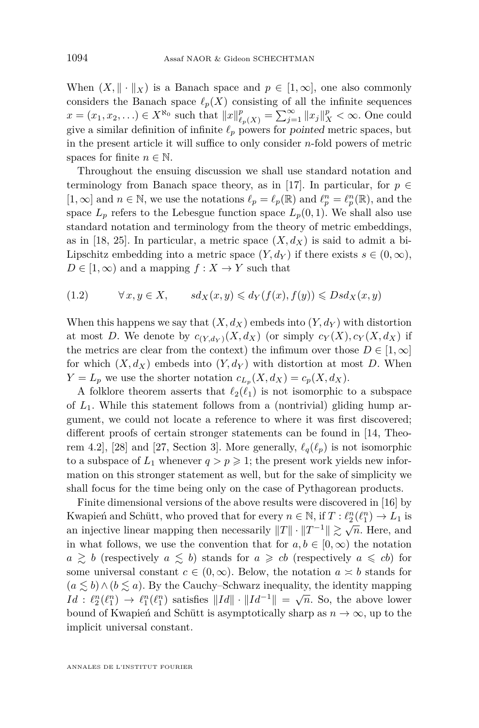When  $(X, \|\cdot\|_X)$  is a Banach space and  $p \in [1, \infty]$ , one also commonly considers the Banach space  $\ell_p(X)$  consisting of all the infinite sequences  $x = (x_1, x_2, \ldots) \in X^{\aleph_0}$  such that  $||x||_{\ell_p(X)}^p = \sum_{j=1}^{\infty} ||x_j||_X^p < \infty$ . One could give a similar definition of infinite  $\ell_p$  powers for pointed metric spaces, but in the present article it will suffice to only consider *n*-fold powers of metric spaces for finite  $n \in \mathbb{N}$ .

Throughout the ensuing discussion we shall use standard notation and terminology from Banach space theory, as in [\[17\]](#page-23-0). In particular, for  $p \in$ [1,  $\infty$ ] and  $n \in \mathbb{N}$ , we use the notations  $\ell_p = \ell_p(\mathbb{R})$  and  $\ell_p^n = \ell_p^n(\mathbb{R})$ , and the space  $L_p$  refers to the Lebesgue function space  $L_p(0,1)$ . We shall also use standard notation and terminology from the theory of metric embeddings, as in [\[18,](#page-23-1) [25\]](#page-23-2). In particular, a metric space  $(X, d_X)$  is said to admit a bi-Lipschitz embedding into a metric space  $(Y, d_Y)$  if there exists  $s \in (0, \infty)$ ,  $D \in [1, \infty)$  and a mapping  $f : X \to Y$  such that

$$
(1.2) \t\t\t \forall x, y \in X, \t\t sd_X(x,y) \leq d_Y(f(x),f(y)) \leq Dsd_X(x,y)
$$

When this happens we say that  $(X, d_X)$  embeds into  $(Y, d_Y)$  with distortion at most *D*. We denote by  $c_{(Y,d_Y)}(X,d_X)$  (or simply  $c_Y(X), c_Y(X,d_X)$  if the metrics are clear from the context) the infimum over those  $D \in [1,\infty]$ for which  $(X, d_X)$  embeds into  $(Y, d_Y)$  with distortion at most *D*. When  $Y = L_p$  we use the shorter notation  $c_{L_p}(X, d_X) = c_p(X, d_X)$ .

A folklore theorem asserts that  $\ell_2(\ell_1)$  is not isomorphic to a subspace of *L*1. While this statement follows from a (nontrivial) gliding hump argument, we could not locate a reference to where it was first discovered; different proofs of certain stronger statements can be found in [\[14,](#page-23-3) Theo-rem 4.2], [\[28\]](#page-23-4) and [\[27,](#page-23-5) Section 3]. More generally,  $\ell_q(\ell_p)$  is not isomorphic to a subspace of  $L_1$  whenever  $q > p \geq 1$ ; the present work yields new information on this stronger statement as well, but for the sake of simplicity we shall focus for the time being only on the case of Pythagorean products.

Finite dimensional versions of the above results were discovered in [\[16\]](#page-23-6) by Kwapień and Schütt, who proved that for every  $n \in \mathbb{N}$ , if  $T : \ell_2^n(\ell_1^n) \to L_1$  is an injective linear mapping then necessarily  $||T|| \cdot ||T^{-1}|| \gtrsim \sqrt{n}$ . Here, and in what follows, we use the convention that for  $a, b \in [0, \infty)$  the notation  $a \geq b$  (respectively  $a \leq b$ ) stands for  $a \geq cb$  (respectively  $a \leq cb$ ) for some universal constant  $c \in (0, \infty)$ . Below, the notation  $a \approx b$  stands for  $(a \leq b) \wedge (b \leq a)$ . By the Cauchy–Schwarz inequality, the identity mapping  $Id: \ell_2^n(\ell_1^n) \to \ell_1^n(\ell_1^n)$  satisfies  $||Id|| \cdot ||Id^{-1}|| = \sqrt{n}$ . So, the above lower bound of Kwapień and Schütt is asymptotically sharp as  $n \to \infty$ , up to the implicit universal constant.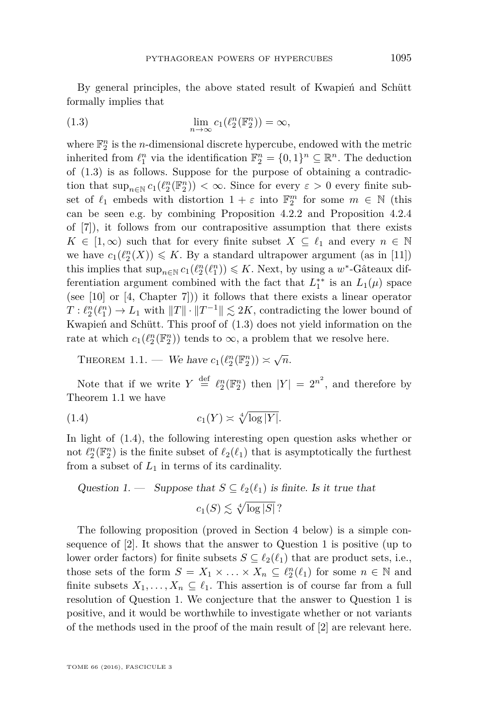By general principles, the above stated result of Kwapień and Schütt formally implies that

<span id="page-3-0"></span>(1.3) 
$$
\lim_{n \to \infty} c_1(\ell_2^n(\mathbb{F}_2^n)) = \infty,
$$

where  $\mathbb{F}_2^n$  is the *n*-dimensional discrete hypercube, endowed with the metric inherited from  $\ell_1^n$  via the identification  $\mathbb{F}_2^n = \{0,1\}^n \subseteq \mathbb{R}^n$ . The deduction of [\(1.3\)](#page-3-0) is as follows. Suppose for the purpose of obtaining a contradiction that  $\sup_{n\in\mathbb{N}} c_1(\ell_2^n(\mathbb{F}_2^n)) < \infty$ . Since for every  $\varepsilon > 0$  every finite subset of  $\ell_1$  embeds with distortion  $1 + \varepsilon$  into  $\mathbb{F}_2^m$  for some  $m \in \mathbb{N}$  (this can be seen e.g. by combining Proposition 4.2.2 and Proposition 4.2.4 of [\[7\]](#page-22-0)), it follows from our contrapositive assumption that there exists  $K \in [1, \infty)$  such that for every finite subset  $X \subseteq \ell_1$  and every  $n \in \mathbb{N}$ we have  $c_1(\ell_2^n(X)) \leq K$ . By a standard ultrapower argument (as in [\[11\]](#page-23-7)) this implies that  $\sup_{n \in \mathbb{N}} c_1(\ell_2^n(\ell_1^n)) \leqslant K$ . Next, by using a  $w^*$ -Gâteaux differentiation argument combined with the fact that  $L_1^{**}$  is an  $L_1(\mu)$  space (see [\[10\]](#page-23-8) or  $[4, Chapter 7])$  $[4, Chapter 7])$  it follows that there exists a linear operator  $T: \ell_2^n(\ell_1^n) \to L_1$  with  $||T|| \cdot ||T^{-1}|| \lesssim 2K$ , contradicting the lower bound of Kwapień and Schütt. This proof of [\(1.3\)](#page-3-0) does not yield information on the rate at which  $c_1(\ell_2^n(\mathbb{F}_2^n))$  tends to  $\infty$ , a problem that we resolve here.

<span id="page-3-1"></span>THEOREM 1.1. — We have  $c_1(\ell_2^n(\mathbb{F}_2^n)) \simeq \sqrt{n}$ .

Note that if we write  $Y \stackrel{\text{def}}{=} \ell_2^n(\mathbb{F}_2^n)$  then  $|Y| = 2^{n^2}$ , and therefore by Theorem [1.1](#page-3-1) we have

<span id="page-3-2"></span>
$$
(1.4) \t\t\t c_1(Y) \asymp \sqrt[4]{\log |Y|}.
$$

In light of [\(1.4\)](#page-3-2), the following interesting open question asks whether or not  $\ell_2^n(\mathbb{F}_2^n)$  is the finite subset of  $\ell_2(\ell_1)$  that is asymptotically the furthest from a subset of  $L_1$  in terms of its cardinality.

<span id="page-3-3"></span>Question 1. — Suppose that 
$$
S \subseteq \ell_2(\ell_1)
$$
 is finite. Is it true that  

$$
c_1(S) \lesssim \sqrt[4]{\log |S|} ?
$$

The following proposition (proved in Section [4](#page-19-0) below) is a simple consequence of [\[2\]](#page-22-2). It shows that the answer to Question [1](#page-3-3) is positive (up to lower order factors) for finite subsets  $S \subseteq \ell_2(\ell_1)$  that are product sets, i.e., those sets of the form  $S = X_1 \times \ldots \times X_n \subseteq \ell_2^n(\ell_1)$  for some  $n \in \mathbb{N}$  and finite subsets  $X_1, \ldots, X_n \subseteq \ell_1$ . This assertion is of course far from a full resolution of Question [1.](#page-3-3) We conjecture that the answer to Question [1](#page-3-3) is positive, and it would be worthwhile to investigate whether or not variants of the methods used in the proof of the main result of [\[2\]](#page-22-2) are relevant here.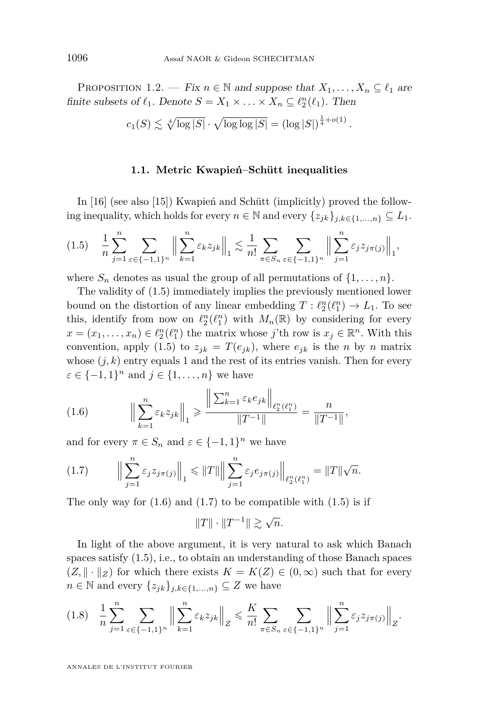<span id="page-4-4"></span>PROPOSITION 1.2. — Fix  $n \in \mathbb{N}$  and suppose that  $X_1, \ldots, X_n \subseteq \ell_1$  are finite subsets of  $\ell_1$ . Denote  $S = X_1 \times \ldots \times X_n \subseteq \ell_2^n(\ell_1)$ . Then

$$
c_1(S) \lesssim \sqrt[4]{\log |S|} \cdot \sqrt{\log \log |S|} = (\log |S|)^{\frac{1}{4} + o(1)}.
$$

#### **1.1. Metric Kwapień–Schütt inequalities**

In [\[16\]](#page-23-6) (see also [\[15\]](#page-23-9)) Kwapień and Schütt (implicitly) proved the following inequality, which holds for every  $n \in \mathbb{N}$  and every  $\{z_{jk}\}_{j,k \in \{1,\ldots,n\}} \subseteq L_1$ .

<span id="page-4-0"></span>
$$
(1.5) \quad \frac{1}{n} \sum_{j=1}^{n} \sum_{\varepsilon \in \{-1,1\}^n} \left\| \sum_{k=1}^{n} \varepsilon_k z_{jk} \right\|_1 \lesssim \frac{1}{n!} \sum_{\pi \in S_n} \sum_{\varepsilon \in \{-1,1\}^n} \left\| \sum_{j=1}^{n} \varepsilon_j z_{j\pi(j)} \right\|_1,
$$

where  $S_n$  denotes as usual the group of all permutations of  $\{1, \ldots, n\}$ .

The validity of [\(1.5\)](#page-4-0) immediately implies the previously mentioned lower bound on the distortion of any linear embedding  $T: \ell_2^n(\ell_1^n) \to L_1$ . To see this, identify from now on  $\ell_2^n(\ell_1^n)$  with  $M_n(\mathbb{R})$  by considering for every  $x = (x_1, \ldots, x_n) \in \ell_2^n(\ell_1^n)$  the matrix whose *j*'th row is  $x_j \in \mathbb{R}^n$ . With this convention, apply [\(1.5\)](#page-4-0) to  $z_{jk} = T(e_{jk})$ , where  $e_{jk}$  is the *n* by *n* matrix whose  $(j, k)$  entry equals 1 and the rest of its entries vanish. Then for every  $\varepsilon \in \{-1, 1\}^n$  and  $j \in \{1, \ldots, n\}$  we have

<span id="page-4-1"></span>(1.6) 
$$
\left\| \sum_{k=1}^{n} \varepsilon_k z_{jk} \right\|_1 \ge \frac{\left\| \sum_{k=1}^{n} \varepsilon_k e_{jk} \right\|_{\ell_2^n(\ell_1^n)}}{\|T^{-1}\|} = \frac{n}{\|T^{-1}\|},
$$

and for every  $\pi \in S_n$  and  $\varepsilon \in \{-1,1\}^n$  we have

<span id="page-4-2"></span>
$$
(1.7) \qquad \Big\|\sum_{j=1}^{n} \varepsilon_j z_{j\pi(j)}\Big\|_1 \leq \|T\| \Big\|\sum_{j=1}^{n} \varepsilon_j e_{j\pi(j)}\Big\|_{\ell_2^n(\ell_1^n)} = \|T\|\sqrt{n}.
$$

The only way for  $(1.6)$  and  $(1.7)$  to be compatible with  $(1.5)$  is if

 $||T|| \cdot ||T^{-1}||$   $\gtrsim \sqrt{n}$ .

In light of the above argument, it is very natural to ask which Banach spaces satisfy [\(1.5\)](#page-4-0), i.e., to obtain an understanding of those Banach spaces  $(Z, \|\cdot\|_Z)$  for which there exists  $K = K(Z) \in (0, \infty)$  such that for every *n* ∈ <sup>*N*</sup> and every  $\{z_{jk}\}_{j,k\in\{1,\ldots,n\}}$  ⊆ *Z* we have

<span id="page-4-3"></span>
$$
(1.8) \quad \frac{1}{n} \sum_{j=1}^{n} \sum_{\varepsilon \in \{-1,1\}^n} \Big\| \sum_{k=1}^{n} \varepsilon_k z_{jk} \Big\|_Z \leqslant \frac{K}{n!} \sum_{\pi \in S_n} \sum_{\varepsilon \in \{-1,1\}^n} \Big\| \sum_{j=1}^{n} \varepsilon_j z_{j\pi(j)} \Big\|_Z.
$$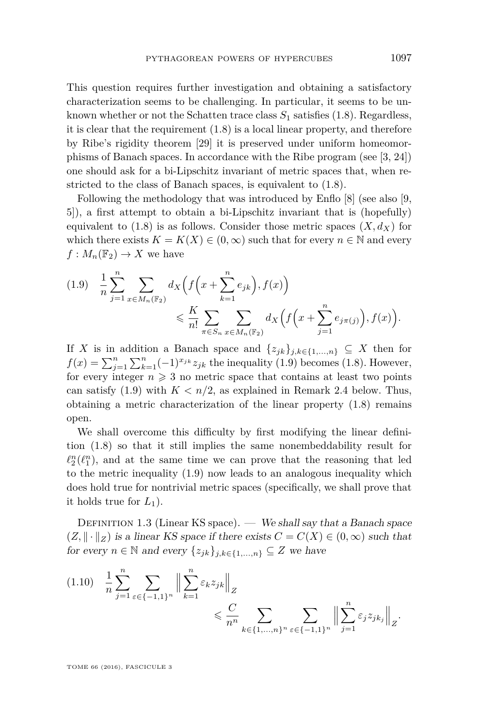This question requires further investigation and obtaining a satisfactory characterization seems to be challenging. In particular, it seems to be unknown whether or not the Schatten trace class  $S_1$  satisfies [\(1.8\)](#page-4-3). Regardless, it is clear that the requirement  $(1.8)$  is a local linear property, and therefore by Ribe's rigidity theorem [\[29\]](#page-23-10) it is preserved under uniform homeomorphisms of Banach spaces. In accordance with the Ribe program (see [\[3,](#page-22-3) [24\]](#page-23-11)) one should ask for a bi-Lipschitz invariant of metric spaces that, when restricted to the class of Banach spaces, is equivalent to [\(1.8\)](#page-4-3).

Following the methodology that was introduced by Enflo [\[8\]](#page-22-4) (see also [\[9,](#page-23-12) [5\]](#page-22-5)), a first attempt to obtain a bi-Lipschitz invariant that is (hopefully) equivalent to  $(1.8)$  is as follows. Consider those metric spaces  $(X, d_X)$  for which there exists  $K = K(X) \in (0, \infty)$  such that for every  $n \in \mathbb{N}$  and every  $f: M_n(\mathbb{F}_2) \to X$  we have

<span id="page-5-0"></span>
$$
(1.9) \quad \frac{1}{n} \sum_{j=1}^{n} \sum_{x \in M_n(\mathbb{F}_2)} d_X \left( f\left(x + \sum_{k=1}^{n} e_{jk}\right), f(x) \right) \\ \leqslant \frac{K}{n!} \sum_{\pi \in S_n} \sum_{x \in M_n(\mathbb{F}_2)} d_X \left( f\left(x + \sum_{j=1}^{n} e_{j\pi(j)}\right), f(x) \right).
$$

If *X* is in addition a Banach space and  $\{z_{jk}\}_{j,k\in\{1,\ldots,n\}} \subseteq X$  then for  $f(x) = \sum_{j=1}^{n} \sum_{k=1}^{n} (-1)^{x_{jk}} z_{jk}$  the inequality [\(1.9\)](#page-5-0) becomes [\(1.8\)](#page-4-3). However, for every integer  $n \geq 3$  no metric space that contains at least two points can satisfy  $(1.9)$  with  $K < n/2$ , as explained in Remark [2.4](#page-15-0) below. Thus, obtaining a metric characterization of the linear property [\(1.8\)](#page-4-3) remains open.

We shall overcome this difficulty by first modifying the linear definition [\(1.8\)](#page-4-3) so that it still implies the same nonembeddability result for  $\ell_2^n(\ell_1^n)$ , and at the same time we can prove that the reasoning that led to the metric inequality [\(1.9\)](#page-5-0) now leads to an analogous inequality which does hold true for nontrivial metric spaces (specifically, we shall prove that it holds true for  $L_1$ ).

DEFINITION 1.3 (Linear KS space). — We shall say that a Banach space  $(Z, \|\cdot\|_Z)$  is a linear KS space if there exists  $C = C(X) \in (0, \infty)$  such that for every  $n \in \mathbb{N}$  and every  $\{z_{jk}\}_{j,k \in \{1,\ldots,n\}} \subseteq Z$  we have

<span id="page-5-1"></span>
$$
(1.10) \quad \frac{1}{n} \sum_{j=1}^{n} \sum_{\varepsilon \in \{-1,1\}^n} \left\| \sum_{k=1}^{n} \varepsilon_k z_{jk} \right\|_Z \le \frac{C}{n^n} \sum_{k \in \{1, \dots, n\}^n} \sum_{\varepsilon \in \{-1,1\}^n} \left\| \sum_{j=1}^{n} \varepsilon_j z_{jk_j} \right\|_Z.
$$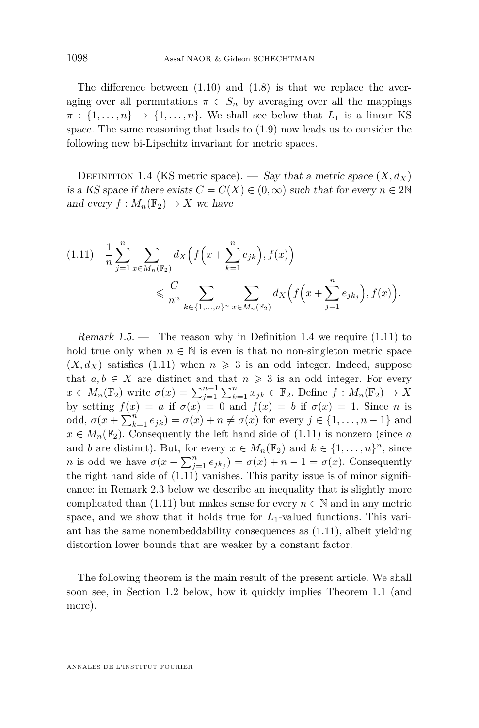The difference between  $(1.10)$  and  $(1.8)$  is that we replace the averaging over all permutations  $\pi \in S_n$  by averaging over all the mappings  $\pi : \{1, \ldots, n\} \rightarrow \{1, \ldots, n\}$ . We shall see below that  $L_1$  is a linear KS space. The same reasoning that leads to [\(1.9\)](#page-5-0) now leads us to consider the following new bi-Lipschitz invariant for metric spaces.

<span id="page-6-0"></span>DEFINITION 1.4 (KS metric space). — Say that a metric space  $(X, d_X)$ is a KS space if there exists  $C = C(X) \in (0, \infty)$  such that for every  $n \in 2\mathbb{N}$ and every  $f: M_n(\mathbb{F}_2) \to X$  we have

<span id="page-6-1"></span>
$$
(1.11) \quad \frac{1}{n} \sum_{j=1}^{n} \sum_{x \in M_n(\mathbb{F}_2)} d_X \left( f\left(x + \sum_{k=1}^{n} e_{jk}\right), f(x) \right) \\ \leqslant \frac{C}{n^n} \sum_{k \in \{1, \dots, n\}^n} \sum_{x \in M_n(\mathbb{F}_2)} d_X \left( f\left(x + \sum_{j=1}^{n} e_{jk}\right), f(x) \right).
$$

<span id="page-6-2"></span>Remark  $1.5$  — The reason why in Definition [1.4](#page-6-0) we require  $(1.11)$  to hold true only when  $n \in \mathbb{N}$  is even is that no non-singleton metric space  $(X, d_X)$  satisfies [\(1.11\)](#page-6-1) when  $n \geq 3$  is an odd integer. Indeed, suppose that  $a, b \in X$  are distinct and that  $n \geq 3$  is an odd integer. For every  $x \in M_n(\mathbb{F}_2)$  write  $\sigma(x) = \sum_{j=1}^{n-1} \sum_{k=1}^n x_{jk} \in \mathbb{F}_2$ . Define  $f: M_n(\mathbb{F}_2) \to X$ by setting  $f(x) = a$  if  $\sigma(x) = 0$  and  $f(x) = b$  if  $\sigma(x) = 1$ . Since *n* is odd,  $\sigma(x + \sum_{k=1}^n e_{jk}) = \sigma(x) + n \neq \sigma(x)$  for every  $j \in \{1, ..., n-1\}$  and  $x \in M_n(\mathbb{F}_2)$ . Consequently the left hand side of  $(1.11)$  is nonzero (since *a* and *b* are distinct). But, for every  $x \in M_n(\mathbb{F}_2)$  and  $k \in \{1, ..., n\}^n$ , since *n* is odd we have  $\sigma(x + \sum_{j=1}^n e_{jk_j}) = \sigma(x) + n - 1 = \sigma(x)$ . Consequently the right hand side of [\(1.11\)](#page-6-1) vanishes. This parity issue is of minor significance: in Remark [2.3](#page-13-0) below we describe an inequality that is slightly more complicated than [\(1.11\)](#page-6-1) but makes sense for every  $n \in \mathbb{N}$  and in any metric space, and we show that it holds true for *L*1-valued functions. This variant has the same nonembeddability consequences as [\(1.11\)](#page-6-1), albeit yielding distortion lower bounds that are weaker by a constant factor.

The following theorem is the main result of the present article. We shall soon see, in Section [1.2](#page-8-0) below, how it quickly implies Theorem [1.1](#page-3-1) (and more).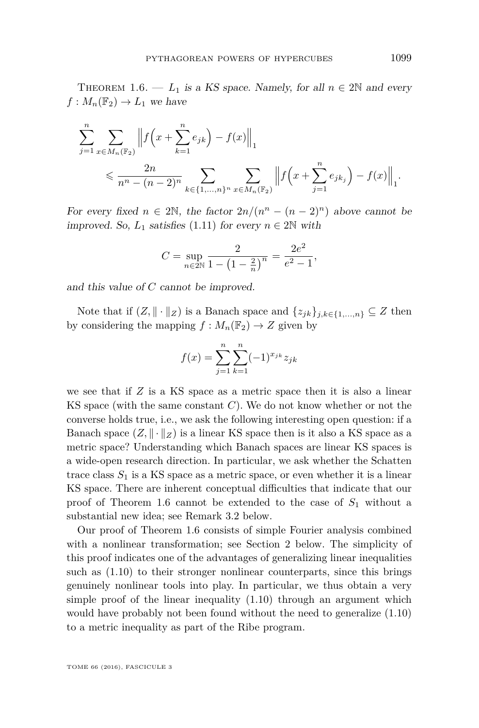<span id="page-7-0"></span>THEOREM 1.6. —  $L_1$  is a KS space. Namely, for all  $n \in 2\mathbb{N}$  and every  $f: M_n(\mathbb{F}_2) \to L_1$  we have

$$
\sum_{j=1}^{n} \sum_{x \in M_n(\mathbb{F}_2)} \left\| f\left(x + \sum_{k=1}^{n} e_{jk}\right) - f(x) \right\|_1
$$
\n
$$
\leq \frac{2n}{n^n - (n-2)^n} \sum_{k \in \{1, \dots, n\}^n} \sum_{x \in M_n(\mathbb{F}_2)} \left\| f\left(x + \sum_{j=1}^{n} e_{jk_j}\right) - f(x) \right\|_1.
$$

For every fixed  $n \in 2\mathbb{N}$ , the factor  $2n/(n^n - (n-2)^n)$  above cannot be improved. So,  $L_1$  satisfies [\(1.11\)](#page-6-1) for every  $n \in 2\mathbb{N}$  with

$$
C = \sup_{n \in 2\mathbb{N}} \frac{2}{1 - \left(1 - \frac{2}{n}\right)^n} = \frac{2e^2}{e^2 - 1},
$$

and this value of *C* cannot be improved.

Note that if  $(Z, \|\cdot\|_Z)$  is a Banach space and  $\{z_{jk}\}_{j,k\in\{1,\ldots,n\}} \subseteq Z$  then by considering the mapping  $f : M_n(\mathbb{F}_2) \to Z$  given by

$$
f(x) = \sum_{j=1}^{n} \sum_{k=1}^{n} (-1)^{x_{jk}} z_{jk}
$$

we see that if *Z* is a KS space as a metric space then it is also a linear KS space (with the same constant *C*). We do not know whether or not the converse holds true, i.e., we ask the following interesting open question: if a Banach space  $(Z, \|\cdot\|_Z)$  is a linear KS space then is it also a KS space as a metric space? Understanding which Banach spaces are linear KS spaces is a wide-open research direction. In particular, we ask whether the Schatten trace class  $S_1$  is a KS space as a metric space, or even whether it is a linear KS space. There are inherent conceptual difficulties that indicate that our proof of Theorem [1.6](#page-7-0) cannot be extended to the case of *S*<sup>1</sup> without a substantial new idea; see Remark [3.2](#page-18-0) below.

Our proof of Theorem [1.6](#page-7-0) consists of simple Fourier analysis combined with a nonlinear transformation; see Section [2](#page-9-0) below. The simplicity of this proof indicates one of the advantages of generalizing linear inequalities such as [\(1.10\)](#page-5-1) to their stronger nonlinear counterparts, since this brings genuinely nonlinear tools into play. In particular, we thus obtain a very simple proof of the linear inequality  $(1.10)$  through an argument which would have probably not been found without the need to generalize [\(1.10\)](#page-5-1) to a metric inequality as part of the Ribe program.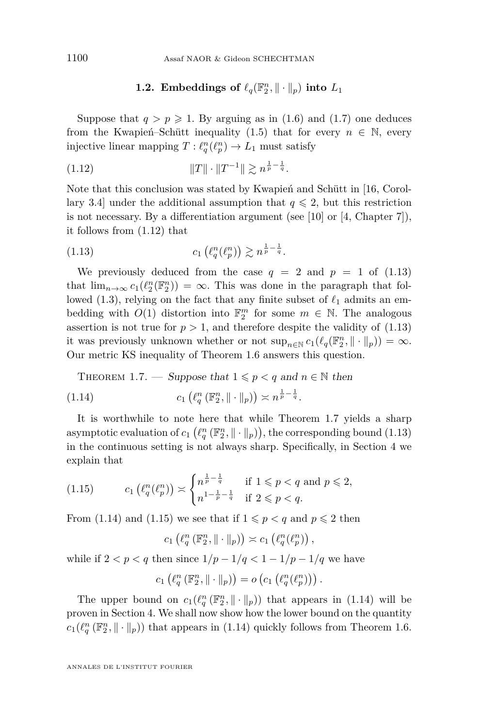#### <span id="page-8-1"></span>**1.2.** Embeddings of  $\ell_q(\mathbb{F}_2^n, \|\cdot\|_p)$  into  $L_1$

<span id="page-8-0"></span>Suppose that  $q > p \geq 1$ . By arguing as in [\(1.6\)](#page-4-1) and [\(1.7\)](#page-4-2) one deduces from the Kwapień–Schütt inequality [\(1.5\)](#page-4-0) that for every  $n \in \mathbb{N}$ , every injective linear mapping  $T: \ell_q^n(\ell_p^n) \to L_1$  must satisfy

(1.12) 
$$
||T|| \cdot ||T^{-1}|| \gtrsim n^{\frac{1}{p} - \frac{1}{q}}.
$$

Note that this conclusion was stated by Kwapień and Schütt in [\[16,](#page-23-6) Corollary 3.4] under the additional assumption that  $q \leq 2$ , but this restriction is not necessary. By a differentiation argument (see [\[10\]](#page-23-8) or [\[4,](#page-22-1) Chapter 7]), it follows from [\(1.12\)](#page-8-1) that

<span id="page-8-2"></span>
$$
(1.13) \t\t c_1\left(\ell_q^n(\ell_p^n)\right) \gtrsim n^{\frac{1}{p} - \frac{1}{q}}.
$$

We previously deduced from the case  $q = 2$  and  $p = 1$  of  $(1.13)$ that  $\lim_{n\to\infty} c_1(\ell_2^n(\mathbb{F}_2^n)) = \infty$ . This was done in the paragraph that fol-lowed [\(1.3\)](#page-3-0), relying on the fact that any finite subset of  $\ell_1$  admits an embedding with  $O(1)$  distortion into  $\mathbb{F}_2^m$  for some  $m \in \mathbb{N}$ . The analogous assertion is not true for  $p > 1$ , and therefore despite the validity of  $(1.13)$ it was previously unknown whether or not  $\sup_{n\in\mathbb{N}} c_1(\ell_q(\mathbb{F}_2^n, \|\cdot\|_p)) = \infty$ . Our metric KS inequality of Theorem [1.6](#page-7-0) answers this question.

<span id="page-8-4"></span><span id="page-8-3"></span>THEOREM 1.7. — Suppose that 
$$
1 \leq p < q
$$
 and  $n \in \mathbb{N}$  then

$$
(1.14) \t\t c_1 \left( \ell_q^n \left( \mathbb{F}_2^n, \| \cdot \|_p \right) \right) \asymp n^{\frac{1}{p} - \frac{1}{q}}.
$$

It is worthwhile to note here that while Theorem [1.7](#page-8-3) yields a sharp asymptotic evaluation of  $c_1\left(\ell_q^n\left(\mathbb{F}_2^n,\|\cdot\|_p\right)\right)$ , the corresponding bound [\(1.13\)](#page-8-2) in the continuous setting is not always sharp. Specifically, in Section [4](#page-19-0) we explain that

<span id="page-8-5"></span>
$$
(1.15) \t c_1\left(\ell_q^n(\ell_p^n)\right) \asymp \begin{cases} n^{\frac{1}{p} - \frac{1}{q}} & \text{if } 1 \leq p < q \text{ and } p \leq 2, \\ n^{1 - \frac{1}{p} - \frac{1}{q}} & \text{if } 2 \leq p < q. \end{cases}
$$

From [\(1.14\)](#page-8-4) and [\(1.15\)](#page-8-5) we see that if  $1 \leqslant p < q$  and  $p \leqslant 2$  then

$$
c_1\left(\ell_q^n\left(\mathbb{F}_2^n,\|\cdot\|_p\right)\right)\asymp c_1\left(\ell_q^n(\ell_p^n)\right),
$$

while if  $2 < p < q$  then since  $1/p - 1/q < 1 - 1/p - 1/q$  we have

$$
c_1\left(\ell_q^n\left(\mathbb{F}_2^n,\|\cdot\|_p\right)\right)=o\left(c_1\left(\ell_q^n(\ell_p^n)\right)\right).
$$

The upper bound on  $c_1(\ell_q^n(\mathbb{F}_2^n, \|\cdot\|_p))$  that appears in [\(1.14\)](#page-8-4) will be proven in Section [4.](#page-19-0) We shall now show how the lower bound on the quantity  $c_1(\ell_q^n(\mathbb{F}_2^n, \|\cdot\|_p))$  that appears in [\(1.14\)](#page-8-4) quickly follows from Theorem [1.6.](#page-7-0)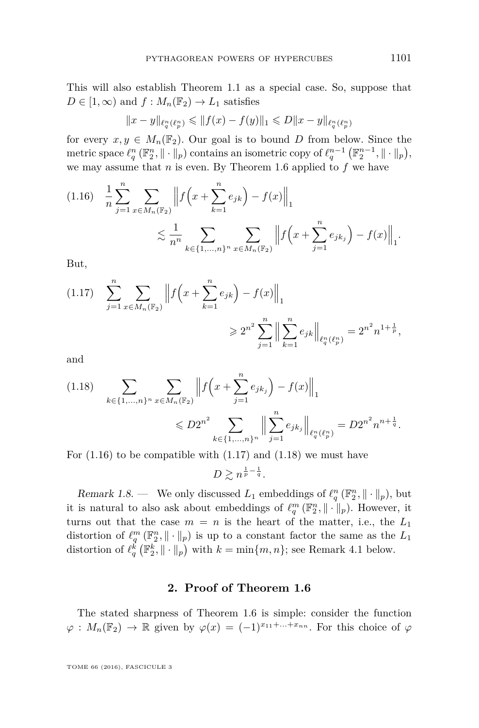This will also establish Theorem [1.1](#page-3-1) as a special case. So, suppose that  $D \in [1, \infty)$  and  $f : M_n(\mathbb{F}_2) \to L_1$  satisfies

$$
||x-y||_{\ell_q^n(\ell_p^n)} \leq ||f(x)-f(y)||_1 \leq D||x-y||_{\ell_q^n(\ell_p^n)}
$$

for every  $x, y \in M_n(\mathbb{F}_2)$ . Our goal is to bound *D* from below. Since the metric space  $\ell_q^n(\mathbb{F}_2^n, \|\cdot\|_p)$  contains an isometric copy of  $\ell_q^{n-1}(\mathbb{F}_2^{n-1}, \|\cdot\|_p),$ we may assume that *n* is even. By Theorem [1.6](#page-7-0) applied to *f* we have

<span id="page-9-1"></span>
$$
(1.16) \quad \frac{1}{n} \sum_{j=1}^{n} \sum_{x \in M_n(\mathbb{F}_2)} \left\| f\left(x + \sum_{k=1}^{n} e_{jk}\right) - f(x) \right\|_1
$$
  

$$
\lesssim \frac{1}{n^n} \sum_{k \in \{1, \dots, n\}^n} \sum_{x \in M_n(\mathbb{F}_2)} \left\| f\left(x + \sum_{j=1}^{n} e_{jk_j}\right) - f(x) \right\|_1.
$$

But,

<span id="page-9-2"></span>
$$
(1.17) \quad \sum_{j=1}^{n} \sum_{x \in M_n(\mathbb{F}_2)} \left\| f\left(x + \sum_{k=1}^{n} e_{jk}\right) - f(x) \right\|_1
$$

$$
\geq 2^{n^2} \sum_{j=1}^{n} \left\| \sum_{k=1}^{n} e_{jk} \right\|_{\ell_q^n(\ell_p^n)} = 2^{n^2} n^{1 + \frac{1}{p}},
$$

and

<span id="page-9-3"></span>
$$
(1.18) \sum_{k \in \{1, \ldots, n\}^n} \sum_{x \in M_n(\mathbb{F}_2)} \left\| f\left(x + \sum_{j=1}^n e_{jk_j}\right) - f(x) \right\|_1
$$
  
\$\leq D2^{n^2} \sum\_{k \in \{1, \ldots, n\}^n} \left\| \sum\_{j=1}^n e\_{jk\_j} \right\|\_{\ell\_q^n(\ell\_p^n)} = D2^{n^2} n^{n + \frac{1}{q}}.

For  $(1.16)$  to be compatible with  $(1.17)$  and  $(1.18)$  we must have  $D \gtrsim n^{\frac{1}{p} - \frac{1}{q}}.$ 

<span id="page-9-4"></span>Remark 1.8. — We only discussed  $L_1$  embeddings of  $\ell_q^n(\mathbb{F}_2^n, \|\cdot\|_p)$ , but it is natural to also ask about embeddings of  $\ell_q^m(\mathbb{F}_2^n, \|\cdot\|_p)$ . However, it turns out that the case  $m = n$  is the heart of the matter, i.e., the  $L_1$ distortion of  $\ell_q^m(\mathbb{F}_2^n, \|\cdot\|_p)$  is up to a constant factor the same as the  $L_1$ distortion of  $\ell_q^{\vec{k}}(\mathbb{F}_2^k, \|\cdot\|_p)$  with  $k = \min\{m, n\}$ ; see Remark [4.1](#page-21-0) below.

#### **2. Proof of Theorem [1.6](#page-7-0)**

<span id="page-9-0"></span>The stated sharpness of Theorem [1.6](#page-7-0) is simple: consider the function  $\varphi: M_n(\mathbb{F}_2) \to \mathbb{R}$  given by  $\varphi(x) = (-1)^{x_{11} + ... + x_{nn}}$ . For this choice of  $\varphi$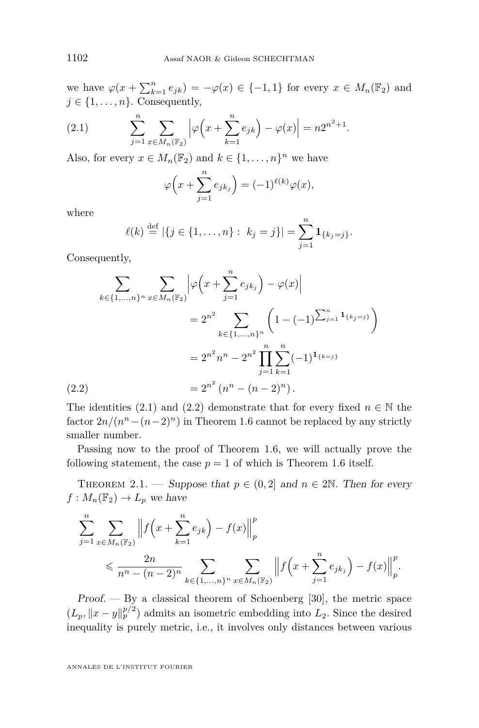we have  $\varphi(x + \sum_{k=1}^n e_{jk}) = -\varphi(x) \in \{-1, 1\}$  for every  $x \in M_n(\mathbb{F}_2)$  and  $j \in \{1, \ldots, n\}$ . Consequently,

<span id="page-10-0"></span>(2.1) 
$$
\sum_{j=1}^{n} \sum_{x \in M_n(\mathbb{F}_2)} \left| \varphi \left( x + \sum_{k=1}^{n} e_{jk} \right) - \varphi(x) \right| = n 2^{n^2 + 1}.
$$

Also, for every  $x \in M_n(\mathbb{F}_2)$  and  $k \in \{1, ..., n\}^n$  we have

$$
\varphi\Big(x+\sum_{j=1}^n e_{jk_j}\Big) = (-1)^{\ell(k)}\varphi(x),
$$

where

$$
\ell(k) \stackrel{\text{def}}{=} |\{j \in \{1, \ldots, n\} : k_j = j\}| = \sum_{j=1}^n \mathbf{1}_{\{k_j = j\}}.
$$

Consequently,

$$
\sum_{k \in \{1, \ldots, n\}^n} \sum_{x \in M_n(\mathbb{F}_2)} \left| \varphi \left( x + \sum_{j=1}^n e_{jk_j} \right) - \varphi(x) \right|
$$
  

$$
= 2^{n^2} \sum_{k \in \{1, \ldots, n\}^n} \left( 1 - (-1)^{\sum_{j=1}^n \mathbf{1}_{\{k_j = j\}}} \right)
$$
  

$$
= 2^{n^2} n^n - 2^{n^2} \prod_{j=1}^n \sum_{k=1}^n (-1)^{\mathbf{1}_{\{k=j\}}} (2.2)
$$
  

$$
= 2^{n^2} (n^n - (n-2)^n).
$$

<span id="page-10-1"></span>The identities [\(2.1\)](#page-10-0) and [\(2.2\)](#page-10-1) demonstrate that for every fixed  $n \in \mathbb{N}$  the factor  $2n/(n^n-(n-2)^n)$  in Theorem [1.6](#page-7-0) cannot be replaced by any strictly smaller number.

Passing now to the proof of Theorem [1.6,](#page-7-0) we will actually prove the following statement, the case  $p = 1$  of which is Theorem [1.6](#page-7-0) itself.

<span id="page-10-2"></span>THEOREM 2.1. — Suppose that  $p \in (0,2]$  and  $n \in 2\mathbb{N}$ . Then for every  $f: M_n(\mathbb{F}_2) \to L_p$  we have

$$
\sum_{j=1}^{n} \sum_{x \in M_n(\mathbb{F}_2)} \left\| f\left(x + \sum_{k=1}^{n} e_{jk}\right) - f(x) \right\|_{p}^{p}
$$
\n
$$
\leq \frac{2n}{n^n - (n-2)^n} \sum_{k \in \{1, \dots, n\}^n} \sum_{x \in M_n(\mathbb{F}_2)} \left\| f\left(x + \sum_{j=1}^{n} e_{jk_j}\right) - f(x) \right\|_{p}^{p}.
$$

Proof. — By a classical theorem of Schoenberg [\[30\]](#page-23-13), the metric space  $(L_p, \|x-y\|_p^{p/2})$  admits an isometric embedding into  $L_2$ . Since the desired inequality is purely metric, i.e., it involves only distances between various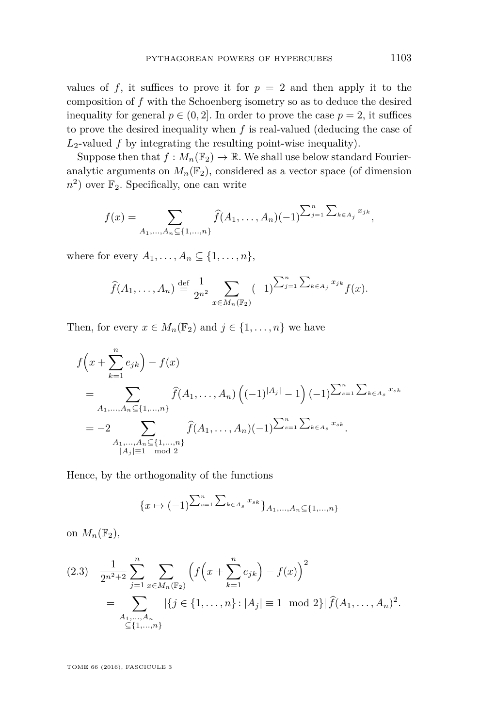values of f, it suffices to prove it for  $p = 2$  and then apply it to the composition of *f* with the Schoenberg isometry so as to deduce the desired inequality for general  $p \in (0, 2]$ . In order to prove the case  $p = 2$ , it suffices to prove the desired inequality when *f* is real-valued (deducing the case of  $L_2$ -valued  $f$  by integrating the resulting point-wise inequality).

Suppose then that  $f: M_n(\mathbb{F}_2) \to \mathbb{R}$ . We shall use below standard Fourieranalytic arguments on  $M_n(\mathbb{F}_2)$ , considered as a vector space (of dimension  $n^2$ ) over  $\mathbb{F}_2$ . Specifically, one can write

$$
f(x) = \sum_{A_1,\dots,A_n \subseteq \{1,\dots,n\}} \widehat{f}(A_1,\dots,A_n)(-1)^{\sum_{j=1}^n \sum_{k \in A_j} x_{jk}},
$$

where for every  $A_1, \ldots, A_n \subseteq \{1, \ldots, n\},\$ 

$$
\widehat{f}(A_1,\ldots,A_n) \stackrel{\text{def}}{=} \frac{1}{2^{n^2}} \sum_{x \in M_n(\mathbb{F}_2)} (-1)^{\sum_{j=1}^n \sum_{k \in A_j} x_{jk}} f(x).
$$

Then, for every  $x \in M_n(\mathbb{F}_2)$  and  $j \in \{1, \ldots, n\}$  we have

$$
f\left(x + \sum_{k=1}^{n} e_{jk}\right) - f(x)
$$
  
= 
$$
\sum_{A_1, ..., A_n \subseteq \{1, ..., n\}} \hat{f}(A_1, ..., A_n) \left((-1)^{|A_j|} - 1\right) (-1)^{\sum_{s=1}^{n} \sum_{k \in A_s} x_{sk}}
$$
  
= 
$$
-2 \sum_{\substack{A_1, ..., A_n \subseteq \{1, ..., n\} \\ |A_j| \equiv 1 \mod 2}} \hat{f}(A_1, ..., A_n) (-1)^{\sum_{s=1}^{n} \sum_{k \in A_s} x_{sk}}.
$$

Hence, by the orthogonality of the functions

$$
\{x \mapsto (-1)^{\sum_{s=1}^{n} \sum_{k \in A_s} x_{sk}}\}_{A_1,...,A_n \subseteq \{1,...,n\}}
$$

on  $M_n(\mathbb{F}_2)$ ,

<span id="page-11-0"></span>
$$
(2.3) \quad \frac{1}{2^{n^2+2}} \sum_{j=1}^n \sum_{x \in M_n(\mathbb{F}_2)} \left( f\left(x + \sum_{k=1}^n e_{jk}\right) - f(x) \right)^2
$$

$$
= \sum_{\substack{A_1, \dots, A_n \\ \subseteq \{1, \dots, n\}}} |\{j \in \{1, \dots, n\} : |A_j| \equiv 1 \mod 2\}| \widehat{f}(A_1, \dots, A_n)^2.
$$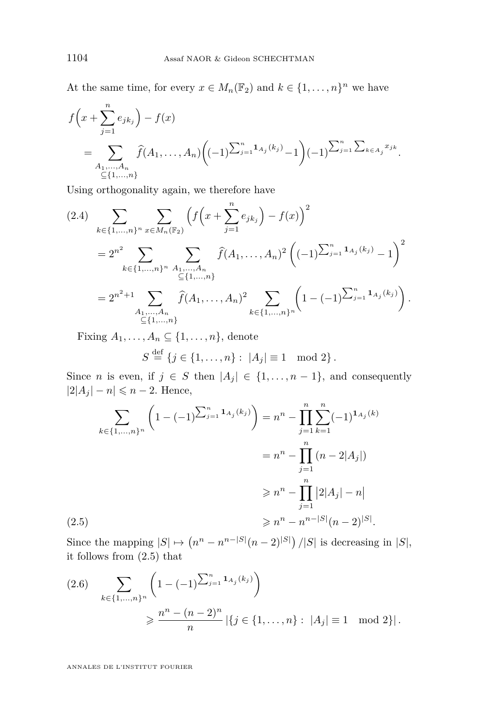At the same time, for every  $x \in M_n(\mathbb{F}_2)$  and  $k \in \{1, ..., n\}^n$  we have

$$
f\left(x+\sum_{j=1}^{n}e_{jk_j}\right)-f(x)
$$
  
=
$$
\sum_{\substack{A_1,\ldots,A_n\\ \subseteq\{1,\ldots,n\}}} \widehat{f}(A_1,\ldots,A_n)\left((-1)^{\sum_{j=1}^{n}1_{A_j}(k_j)}-1\right)(-1)^{\sum_{j=1}^{n} \sum_{k\in A_j}x_{jk}}.
$$

Using orthogonality again, we therefore have

<span id="page-12-2"></span>
$$
(2.4) \sum_{k \in \{1,\ldots,n\}^n} \sum_{x \in M_n(\mathbb{F}_2)} \left( f\left(x + \sum_{j=1}^n e_{jk_j}\right) - f(x) \right)^2
$$
  
=  $2^{n^2} \sum_{k \in \{1,\ldots,n\}^n} \sum_{\substack{A_1,\ldots,A_n \\ \subseteq \{1,\ldots,n\}}} \widehat{f}(A_1,\ldots,A_n)^2 \left( (-1)^{\sum_{j=1}^n \mathbf{1}_{A_j}(k_j)} - 1 \right)^2$   
=  $2^{n^2+1} \sum_{\substack{A_1,\ldots,A_n \\ \subseteq \{1,\ldots,n\}}} \widehat{f}(A_1,\ldots,A_n)^2 \sum_{k \in \{1,\ldots,n\}^n} \left( 1 - (-1)^{\sum_{j=1}^n \mathbf{1}_{A_j}(k_j)} \right).$ 

Fixing  $A_1, \ldots, A_n \subseteq \{1, \ldots, n\}$ , denote

$$
S \stackrel{\text{def}}{=} \{j \in \{1, ..., n\} : |A_j| \equiv 1 \mod 2\}.
$$

Since *n* is even, if  $j \in S$  then  $|A_j| \in \{1, ..., n-1\}$ , and consequently  $|2|A_j| - n \leq n - 2$ . Hence,

$$
\sum_{k \in \{1, \ldots, n\}^n} \left( 1 - (-1)^{\sum_{j=1}^n \mathbf{1}_{A_j}(k_j)} \right) = n^n - \prod_{j=1}^n \sum_{k=1}^n (-1)^{\mathbf{1}_{A_j}(k)}
$$

$$
= n^n - \prod_{j=1}^n (n - 2|A_j|)
$$

$$
\geq n^n - \prod_{j=1}^n |2|A_j| - n|
$$

$$
\geq n^n - n^{n-|S|}(n-2)^{|S|}.
$$

<span id="page-12-0"></span>Since the mapping  $|S| \mapsto (n^n - n^{n-|S|}(n-2)^{|S|})/|S|$  is decreasing in  $|S|$ , it follows from [\(2.5\)](#page-12-0) that

<span id="page-12-1"></span>
$$
(2.6) \sum_{k \in \{1, \dots, n\}^n} \left(1 - (-1)^{\sum_{j=1}^n \mathbf{1}_{A_j}(k_j)}\right)
$$
  

$$
\geq \frac{n^n - (n-2)^n}{n} |\{j \in \{1, \dots, n\} : |A_j| \equiv 1 \mod 2\}|.
$$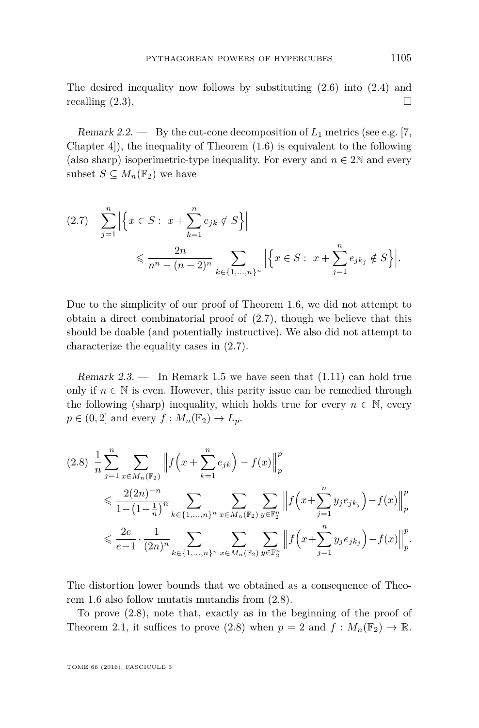The desired inequality now follows by substituting [\(2.6\)](#page-12-1) into [\(2.4\)](#page-12-2) and recalling  $(2.3)$ .

Remark 2.2.  $\qquad$  By the cut-cone decomposition of  $L_1$  metrics (see e.g. [\[7,](#page-22-0) Chapter 4. (1), the inequality of Theorem  $(1.6)$  is equivalent to the following (also sharp) isoperimetric-type inequality. For every and  $n \in 2\mathbb{N}$  and every subset  $S \subseteq M_n(\mathbb{F}_2)$  we have

<span id="page-13-1"></span>
$$
(2.7) \quad \sum_{j=1}^{n} \left| \left\{ x \in S : \ x + \sum_{k=1}^{n} e_{jk} \notin S \right\} \right|
$$
  
\$\leqslant \frac{2n}{n^n - (n-2)^n} \sum\_{k \in \{1, \dots, n\}^n} \left| \left\{ x \in S : \ x + \sum\_{j=1}^{n} e\_{jk\_j} \notin S \right\} \right|\$.

Due to the simplicity of our proof of Theorem [1.6,](#page-7-0) we did not attempt to obtain a direct combinatorial proof of [\(2.7\)](#page-13-1), though we believe that this should be doable (and potentially instructive). We also did not attempt to characterize the equality cases in [\(2.7\)](#page-13-1).

<span id="page-13-0"></span>Remark  $2.3.$  — In Remark [1.5](#page-6-2) we have seen that  $(1.11)$  can hold true only if  $n \in \mathbb{N}$  is even. However, this parity issue can be remedied through the following (sharp) inequality, which holds true for every  $n \in \mathbb{N}$ , every  $p \in (0,2]$  and every  $f : M_n(\mathbb{F}_2) \to L_p$ .

<span id="page-13-2"></span>
$$
(2.8) \frac{1}{n} \sum_{j=1}^{n} \sum_{x \in M_n(\mathbb{F}_2)} \left\| f\left(x + \sum_{k=1}^{n} e_{jk}\right) - f(x) \right\|_{p}^{p}
$$
  
\$\leqslant \frac{2(2n)^{-n}}{1 - \left(1 - \frac{1}{n}\right)^{n}} \sum\_{k \in \{1, \ldots, n\}^{n}} \sum\_{x \in M\_n(\mathbb{F}\_2)} \sum\_{y \in \mathbb{F}\_2^{n}} \left\| f\left(x + \sum\_{j=1}^{n} y\_j e\_{jk\_j}\right) - f(x) \right\|\_{p}^{p}\$  
\$\leqslant \frac{2e}{e-1} \cdot \frac{1}{(2n)^{n}} \sum\_{k \in \{1, \ldots, n\}^{n}} \sum\_{x \in M\_n(\mathbb{F}\_2)} \sum\_{y \in \mathbb{F}\_2^{n}} \left\| f\left(x + \sum\_{j=1}^{n} y\_j e\_{jk\_j}\right) - f(x) \right\|\_{p}^{p}.\$

The distortion lower bounds that we obtained as a consequence of Theorem [1.6](#page-7-0) also follow mutatis mutandis from [\(2.8\)](#page-13-2).

To prove [\(2.8\)](#page-13-2), note that, exactly as in the beginning of the proof of Theorem [2.1,](#page-10-2) it suffices to prove [\(2.8\)](#page-13-2) when  $p = 2$  and  $f : M_n(\mathbb{F}_2) \to \mathbb{R}$ .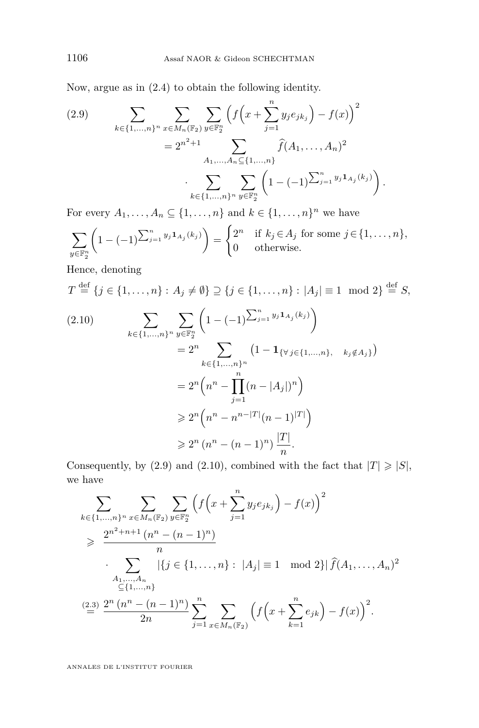Now, argue as in [\(2.4\)](#page-12-2) to obtain the following identity.

<span id="page-14-0"></span>
$$
(2.9) \qquad \sum_{k \in \{1,\ldots,n\}^n} \sum_{x \in M_n(\mathbb{F}_2)} \sum_{y \in \mathbb{F}_2^n} \left( f\left(x + \sum_{j=1}^n y_j e_{jk_j}\right) - f(x) \right)^2
$$

$$
= 2^{n^2 + 1} \sum_{A_1,\ldots,A_n \subseteq \{1,\ldots,n\}} \widehat{f}(A_1,\ldots,A_n)^2
$$

$$
\cdot \sum_{k \in \{1,\ldots,n\}^n} \sum_{y \in \mathbb{F}_2^n} \left(1 - (-1)^{\sum_{j=1}^n y_j \mathbf{1}_{A_j}(k_j)}\right).
$$

For every  $A_1, \ldots, A_n \subseteq \{1, \ldots, n\}$  and  $k \in \{1, \ldots, n\}^n$  we have

$$
\sum_{y \in \mathbb{F}_2^n} \left(1 - (-1)^{\sum_{j=1}^n y_j \mathbf{1}_{A_j}(k_j)}\right) = \begin{cases} 2^n & \text{if } k_j \in A_j \text{ for some } j \in \{1, \dots, n\}, \\ 0 & \text{otherwise.} \end{cases}
$$

Hence, denoting

$$
T \stackrel{\text{def}}{=} \{j \in \{1, \dots, n\} : A_j \neq \emptyset\} \supseteq \{j \in \{1, \dots, n\} : |A_j| \equiv 1 \mod 2\} \stackrel{\text{def}}{=} S,
$$

<span id="page-14-1"></span>
$$
(2.10) \qquad \sum_{k \in \{1, \dots, n\}^n} \sum_{y \in \mathbb{F}_2^n} \left( 1 - (-1)^{\sum_{j=1}^n y_j \mathbf{1}_{A_j}(k_j)} \right)
$$
  
\n
$$
= 2^n \sum_{k \in \{1, \dots, n\}^n} \left( 1 - \mathbf{1}_{\{\forall j \in \{1, \dots, n\}, \quad k_j \notin A_j\}} \right)
$$
  
\n
$$
= 2^n \left( n^n - \prod_{j=1}^n (n - |A_j|)^n \right)
$$
  
\n
$$
\geq 2^n \left( n^n - n^{n-|T|} (n-1)^{|T|} \right)
$$
  
\n
$$
\geq 2^n \left( n^n - (n-1)^n \right) \frac{|T|}{n}.
$$

Consequently, by [\(2.9\)](#page-14-0) and [\(2.10\)](#page-14-1), combined with the fact that  $|T| \geq |S|$ , we have

$$
\sum_{k \in \{1,\ldots,n\}^n} \sum_{x \in M_n(\mathbb{F}_2)} \sum_{y \in \mathbb{F}_2^n} \left( f\left(x + \sum_{j=1}^n y_j e_{jk_j}\right) - f(x) \right)^2
$$
\n
$$
\geq \frac{2^{n^2 + n + 1} (n^n - (n - 1)^n)}{n}
$$
\n
$$
\cdot \sum_{\substack{A_1,\ldots,A_n \\ \subseteq \{1,\ldots,n\} \\ \text{if } i \in \{1,\ldots,n\} \} }} \left| \{ j \in \{1,\ldots,n\} : |A_j| \equiv 1 \mod 2 \} | \widehat{f}(A_1,\ldots,A_n)^2
$$
\n
$$
\stackrel{(2.3)}{=} \frac{2^n (n^n - (n - 1)^n)}{2n} \sum_{j=1}^n \sum_{x \in M_n(\mathbb{F}_2)} \left( f\left(x + \sum_{k=1}^n e_{jk}\right) - f(x) \right)^2.
$$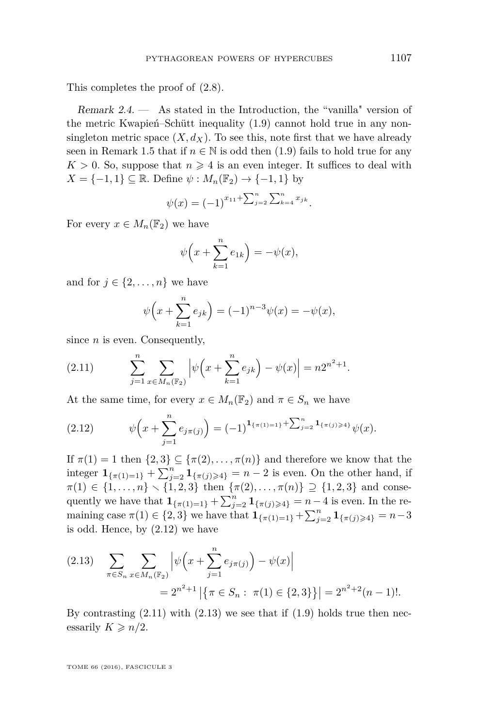This completes the proof of [\(2.8\)](#page-13-2).

<span id="page-15-0"></span>Remark  $2.4.$  — As stated in the Introduction, the "vanilla" version of the metric Kwapień–Schütt inequality [\(1.9\)](#page-5-0) cannot hold true in any nonsingleton metric space  $(X, d_X)$ . To see this, note first that we have already seen in Remark [1.5](#page-6-2) that if  $n \in \mathbb{N}$  is odd then [\(1.9\)](#page-5-0) fails to hold true for any  $K > 0$ . So, suppose that  $n \geq 4$  is an even integer. It suffices to deal with  $X = \{-1, 1\} \subseteq \mathbb{R}$ . Define  $\psi : M_n(\mathbb{F}_2) \to \{-1, 1\}$  by

$$
\psi(x) = (-1)^{x_{11} + \sum_{j=2}^{n} \sum_{k=4}^{n} x_{jk}}.
$$

For every  $x \in M_n(\mathbb{F}_2)$  we have

$$
\psi\Big(x+\sum_{k=1}^n e_{1k}\Big)=-\psi(x),
$$

and for  $j \in \{2, \ldots, n\}$  we have

$$
\psi\left(x + \sum_{k=1}^{n} e_{jk}\right) = (-1)^{n-3}\psi(x) = -\psi(x),
$$

since *n* is even. Consequently,

<span id="page-15-2"></span>(2.11) 
$$
\sum_{j=1}^{n} \sum_{x \in M_n(\mathbb{F}_2)} \left| \psi \left( x + \sum_{k=1}^{n} e_{jk} \right) - \psi(x) \right| = n2^{n^2 + 1}.
$$

At the same time, for every  $x \in M_n(\mathbb{F}_2)$  and  $\pi \in S_n$  we have

<span id="page-15-1"></span>(2.12) 
$$
\psi\left(x+\sum_{j=1}^n e_{j\pi(j)}\right)=(-1)^{\mathbf{1}_{\{\pi(1)=1\}}+\sum_{j=2}^n \mathbf{1}_{\{\pi(j)\geq 4\}}}\psi(x).
$$

If  $\pi(1) = 1$  then  $\{2,3\} \subseteq {\pi(2), \ldots, \pi(n)}$  and therefore we know that the integer  $\mathbf{1}_{\{\pi(1)=1\}} + \sum_{j=2}^{n} \mathbf{1}_{\{\pi(j)\geq 4\}} = n-2$  is even. On the other hand, if  $\pi(1) \in \{1, \ldots, n\} \setminus \{1, 2, 3\}$  then  $\{\pi(2), \ldots, \pi(n)\} \supseteq \{1, 2, 3\}$  and consequently we have that  $1_{\{\pi(1)=1\}} + \sum_{j=2}^{n} 1_{\{\pi(j)\geq 4\}} = n-4$  is even. In the remaining case  $\pi(1) \in \{2, 3\}$  we have that  $\mathbf{1}_{\{\pi(1)=1\}} + \sum_{j=2}^{n} \mathbf{1}_{\{\pi(j)\geq 4\}} = n-3$ is odd. Hence, by [\(2.12\)](#page-15-1) we have

<span id="page-15-3"></span>
$$
(2.13) \quad \sum_{\pi \in S_n} \sum_{x \in M_n(\mathbb{F}_2)} \left| \psi \left( x + \sum_{j=1}^n e_{j\pi(j)} \right) - \psi(x) \right|
$$
  
=  $2^{n^2+1} \left| \left\{ \pi \in S_n : \pi(1) \in \{2, 3\} \right\} \right| = 2^{n^2+2} (n-1)!$ 

By contrasting  $(2.11)$  with  $(2.13)$  we see that if  $(1.9)$  holds true then necessarily  $K \geqslant n/2$ .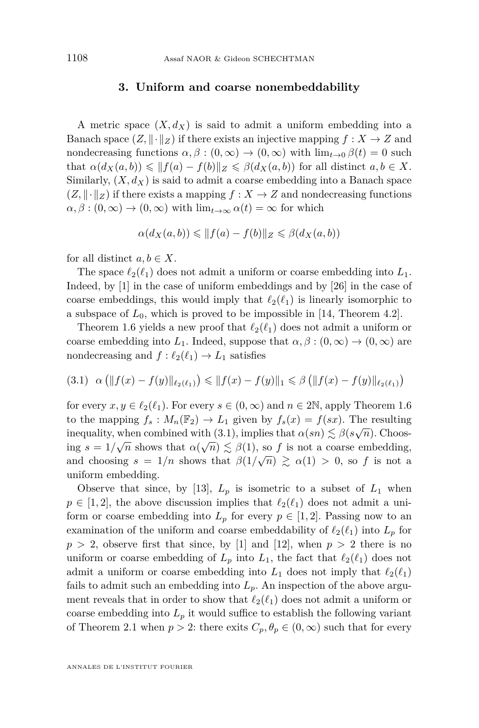#### **3. Uniform and coarse nonembeddability**

A metric space  $(X, d_X)$  is said to admit a uniform embedding into a Banach space  $(Z, \|\cdot\|_Z)$  if there exists an injective mapping  $f : X \to Z$  and nondecreasing functions  $\alpha, \beta : (0, \infty) \to (0, \infty)$  with  $\lim_{t \to 0} \beta(t) = 0$  such that  $\alpha(d_X(a, b)) \leq \|f(a) - f(b)\|_Z \leq \beta(d_X(a, b))$  for all distinct  $a, b \in X$ . Similarly,  $(X, d_X)$  is said to admit a coarse embedding into a Banach space  $(Z, \|\cdot\|_Z)$  if there exists a mapping  $f: X \to Z$  and nondecreasing functions  $\alpha, \beta : (0, \infty) \to (0, \infty)$  with  $\lim_{t \to \infty} \alpha(t) = \infty$  for which

$$
\alpha(d_X(a,b)) \le \|f(a) - f(b)\|_Z \le \beta(d_X(a,b))
$$

for all distinct  $a, b \in X$ .

The space  $\ell_2(\ell_1)$  does not admit a uniform or coarse embedding into  $L_1$ . Indeed, by [\[1\]](#page-22-6) in the case of uniform embeddings and by [\[26\]](#page-23-14) in the case of coarse embeddings, this would imply that  $\ell_2(\ell_1)$  is linearly isomorphic to a subspace of  $L_0$ , which is proved to be impossible in [\[14,](#page-23-3) Theorem 4.2].

Theorem [1.6](#page-7-0) yields a new proof that  $\ell_2(\ell_1)$  does not admit a uniform or coarse embedding into  $L_1$ . Indeed, suppose that  $\alpha, \beta : (0, \infty) \to (0, \infty)$  are nondecreasing and  $f : \ell_2(\ell_1) \to L_1$  satisfies

<span id="page-16-0"></span>
$$
(3.1) \ \alpha \left( \|f(x) - f(y)\|_{\ell_2(\ell_1)} \right) \le \|f(x) - f(y)\|_1 \le \beta \left( \|f(x) - f(y)\|_{\ell_2(\ell_1)} \right)
$$

for every  $x, y \in \ell_2(\ell_1)$ . For every  $s \in (0, \infty)$  and  $n \in 2\mathbb{N}$ , apply Theorem [1.6](#page-7-0) to the mapping  $f_s: M_n(\mathbb{F}_2) \to L_1$  given by  $f_s(x) = f(sx)$ . The resulting inequality, when combined with [\(3.1\)](#page-16-0), implies that  $\alpha(sn) \lesssim \beta(s\sqrt{n})$ . Choosing  $s = 1/\sqrt{n}$  shows that  $\alpha(\sqrt{n}) \lesssim \beta(1)$ , so *f* is not a coarse embedding, and choosing  $s = 1/n$  shows that  $\beta(1/\sqrt{n}) \ge \alpha(1) > 0$ , so *f* is not a uniform embedding.

Observe that since, by [\[13\]](#page-23-15),  $L_p$  is isometric to a subset of  $L_1$  when  $p \in [1, 2]$ , the above discussion implies that  $\ell_2(\ell_1)$  does not admit a uniform or coarse embedding into  $L_p$  for every  $p \in [1,2]$ . Passing now to an examination of the uniform and coarse embeddability of  $\ell_2(\ell_1)$  into  $L_p$  for  $p > 2$ , observe first that since, by [\[1\]](#page-22-6) and [\[12\]](#page-23-16), when  $p > 2$  there is no uniform or coarse embedding of  $L_p$  into  $L_1$ , the fact that  $\ell_2(\ell_1)$  does not admit a uniform or coarse embedding into  $L_1$  does not imply that  $\ell_2(\ell_1)$ fails to admit such an embedding into  $L_p$ . An inspection of the above argument reveals that in order to show that  $\ell_2(\ell_1)$  does not admit a uniform or coarse embedding into  $L_p$  it would suffice to establish the following variant of Theorem [2.1](#page-10-2) when  $p > 2$ : there exits  $C_p$ ,  $\theta_p \in (0, \infty)$  such that for every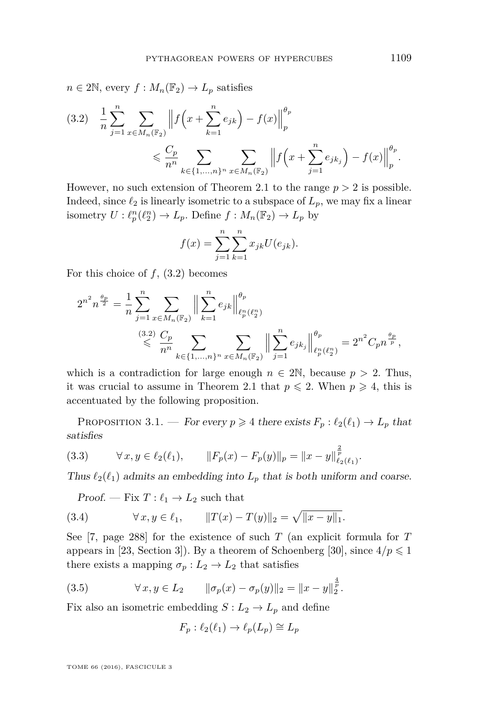$n \in 2\mathbb{N}$ , every  $f: M_n(\mathbb{F}_2) \to L_p$  satisfies

<span id="page-17-0"></span>
$$
(3.2) \quad \frac{1}{n} \sum_{j=1}^{n} \sum_{x \in M_n(\mathbb{F}_2)} \left\| f\left(x + \sum_{k=1}^{n} e_{jk}\right) - f(x) \right\|_{p}^{\theta_p} \leq \frac{C_p}{n^n} \sum_{k \in \{1, \dots, n\}^n} \sum_{x \in M_n(\mathbb{F}_2)} \left\| f\left(x + \sum_{j=1}^{n} e_{jk_j}\right) - f(x) \right\|_{p}^{\theta_p}.
$$

However, no such extension of Theorem [2.1](#page-10-2) to the range  $p > 2$  is possible. Indeed, since  $\ell_2$  is linearly isometric to a subspace of  $L_p$ , we may fix a linear isometry  $U: \ell_p^n(\ell_2^n) \to L_p$ . Define  $f: M_n(\mathbb{F}_2) \to L_p$  by

$$
f(x) = \sum_{j=1}^{n} \sum_{k=1}^{n} x_{jk} U(e_{jk}).
$$

For this choice of *f*, [\(3.2\)](#page-17-0) becomes

$$
2^{n^2} n^{\frac{\theta_p}{2}} = \frac{1}{n} \sum_{j=1}^n \sum_{x \in M_n(\mathbb{F}_2)} \left\| \sum_{k=1}^n e_{jk} \right\|_{\ell_p^n(\ell_2^n)}^{\theta_p}
$$
  

$$
\leqslant \frac{(3.2)}{n^n} \sum_{k \in \{1, \ldots, n\}^n} \sum_{x \in M_n(\mathbb{F}_2)} \left\| \sum_{j=1}^n e_{jk_j} \right\|_{\ell_p^n(\ell_2^n)}^{\theta_p} = 2^{n^2} C_p n^{\frac{\theta_p}{p}},
$$

which is a contradiction for large enough  $n \in 2\mathbb{N}$ , because  $p > 2$ . Thus, it was crucial to assume in Theorem [2.1](#page-10-2) that  $p \le 2$ . When  $p \ge 4$ , this is accentuated by the following proposition.

<span id="page-17-4"></span>PROPOSITION 3.1. — For every  $p \ge 4$  there exists  $F_p : \ell_2(\ell_1) \to L_p$  that satisfies

<span id="page-17-3"></span>(3.3) 
$$
\forall x, y \in \ell_2(\ell_1), \qquad \|F_p(x) - F_p(y)\|_p = \|x - y\|_{\ell_2(\ell_1)}^{\frac{2}{p}}.
$$

Thus  $\ell_2(\ell_1)$  admits an embedding into  $L_p$  that is both uniform and coarse.

<span id="page-17-2"></span>Proof. — Fix 
$$
T: \ell_1 \to L_2
$$
 such that

(3.4) 
$$
\forall x, y \in \ell_1, \qquad ||T(x) - T(y)||_2 = \sqrt{||x - y||_1}.
$$

See [\[7,](#page-22-0) page 288] for the existence of such *T* (an explicit formula for *T* appears in [\[23,](#page-23-17) Section 3]). By a theorem of Schoenberg [\[30\]](#page-23-13), since  $4/p \leq 1$ there exists a mapping  $\sigma_p: L_2 \to L_2$  that satisfies

(3.5) 
$$
\forall x, y \in L_2 \qquad \|\sigma_p(x) - \sigma_p(y)\|_2 = \|x - y\|_2^{\frac{4}{p}}.
$$

Fix also an isometric embedding  $S: L_2 \to L_p$  and define

<span id="page-17-1"></span>
$$
F_p: \ell_2(\ell_1) \to \ell_p(L_p) \cong L_p
$$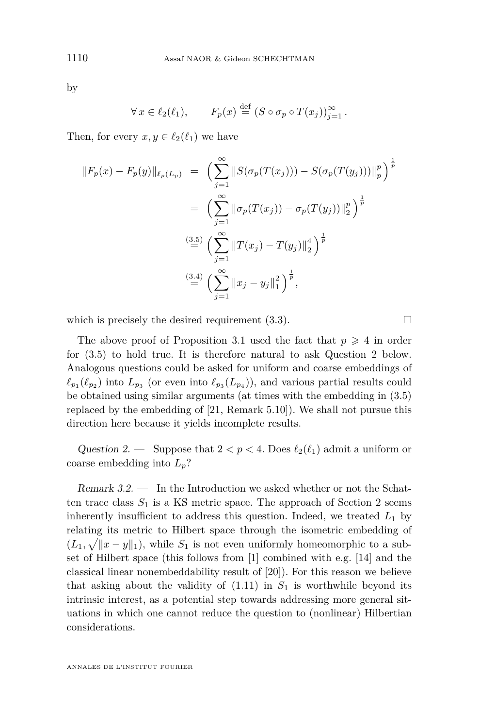by

$$
\forall x \in \ell_2(\ell_1), \qquad F_p(x) \stackrel{\text{def}}{=} (S \circ \sigma_p \circ T(x_j))_{j=1}^{\infty}.
$$

Then, for every  $x, y \in \ell_2(\ell_1)$  we have

$$
||F_p(x) - F_p(y)||_{\ell_p(L_p)} = \left(\sum_{j=1}^{\infty} ||S(\sigma_p(T(x_j))) - S(\sigma_p(T(y_j)))||_p^p\right)^{\frac{1}{p}}
$$
  

$$
= \left(\sum_{j=1}^{\infty} ||\sigma_p(T(x_j)) - \sigma_p(T(y_j))||_2^p\right)^{\frac{1}{p}}
$$
  

$$
\stackrel{(3.5)}{=} \left(\sum_{j=1}^{\infty} ||T(x_j) - T(y_j)||_2^4\right)^{\frac{1}{p}}
$$
  

$$
\stackrel{(3.4)}{=} \left(\sum_{j=1}^{\infty} ||x_j - y_j||_1^2\right)^{\frac{1}{p}},
$$

which is precisely the desired requirement  $(3.3)$ .

The above proof of Proposition [3.1](#page-17-4) used the fact that  $p \geq 4$  in order for [\(3.5\)](#page-17-1) to hold true. It is therefore natural to ask Question [2](#page-18-1) below. Analogous questions could be asked for uniform and coarse embeddings of  $\ell_{p_1}(\ell_{p_2})$  into  $L_{p_3}$  (or even into  $\ell_{p_3}(L_{p_4})$ ), and various partial results could be obtained using similar arguments (at times with the embedding in [\(3.5\)](#page-17-1) replaced by the embedding of [\[21,](#page-23-18) Remark 5.10]). We shall not pursue this direction here because it yields incomplete results.

<span id="page-18-1"></span>Question 2. — Suppose that  $2 < p < 4$ . Does  $\ell_2(\ell_1)$  admit a uniform or coarse embedding into *Lp*?

<span id="page-18-0"></span>Remark 3.2. — In the Introduction we asked whether or not the Schatten trace class  $S_1$  is a KS metric space. The approach of Section [2](#page-9-0) seems inherently insufficient to address this question. Indeed, we treated  $L_1$  by relating its metric to Hilbert space through the isometric embedding of  $(L_1, \sqrt{\|x-y\|_1})$ , while  $S_1$  is not even uniformly homeomorphic to a subset of Hilbert space (this follows from [\[1\]](#page-22-6) combined with e.g. [\[14\]](#page-23-3) and the classical linear nonembeddability result of [\[20\]](#page-23-19)). For this reason we believe that asking about the validity of  $(1.11)$  in  $S_1$  is worthwhile beyond its intrinsic interest, as a potential step towards addressing more general situations in which one cannot reduce the question to (nonlinear) Hilbertian considerations.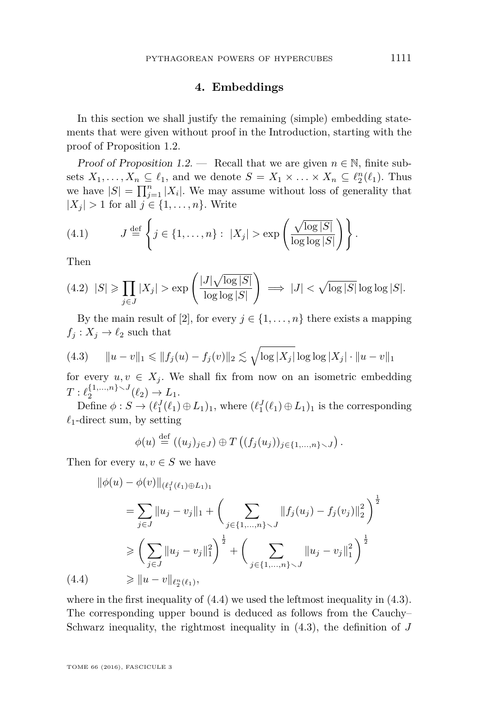#### **4. Embeddings**

<span id="page-19-0"></span>In this section we shall justify the remaining (simple) embedding statements that were given without proof in the Introduction, starting with the proof of Proposition [1.2.](#page-4-4)

Proof of Proposition [1.2.](#page-4-4) — Recall that we are given  $n \in \mathbb{N}$ , finite subsets  $X_1, \ldots, X_n \subseteq \ell_1$ , and we denote  $S = X_1 \times \ldots \times X_n \subseteq \ell_2^n(\ell_1)$ . Thus we have  $|S| = \prod_{j=1}^{n} |X_i|$ . We may assume without loss of generality that  $|X_j| > 1$  for all  $j \in \{1, \ldots, n\}$ . Write

<span id="page-19-3"></span>(4.1) 
$$
J \stackrel{\text{def}}{=} \left\{ j \in \{1, \dots, n\} : |X_j| > \exp\left(\frac{\sqrt{\log |S|}}{\log \log |S|}\right) \right\}.
$$

Then

<span id="page-19-4"></span>
$$
(4.2) \quad |S| \ge \prod_{j \in J} |X_j| > \exp\left(\frac{|J|\sqrt{\log|S|}}{\log\log|S|}\right) \implies |J| < \sqrt{\log|S|} \log\log|S|.
$$

By the main result of [\[2\]](#page-22-2), for every  $j \in \{1, \ldots, n\}$  there exists a mapping  $f_j: X_j \to \ell_2$  such that

<span id="page-19-2"></span>
$$
(4.3) \t ||u - v||_1 \le ||f_j(u) - f_j(v)||_2 \le \sqrt{\log |X_j|} \log \log |X_j| \cdot ||u - v||_1
$$

for every  $u, v \in X_j$ . We shall fix from now on an isometric embedding  $T: \ell_2^{\{1,\ldots,n\}\setminus J}(\ell_2) \to L_1.$ 

Define  $\phi: S \to (\ell_1^J(\ell_1) \oplus L_1)_1$ , where  $(\ell_1^J(\ell_1) \oplus L_1)_1$  is the corresponding  $\ell_1$ -direct sum, by setting

$$
\phi(u) \stackrel{\text{def}}{=} ((u_j)_{j \in J}) \oplus T ((f_j(u_j))_{j \in \{1, \ldots, n\} \smallsetminus J}).
$$

Then for every  $u, v \in S$  we have

$$
\|\phi(u) - \phi(v)\|_{(\ell_1^J(\ell_1) \oplus L_1)_1}
$$
\n
$$
= \sum_{j \in J} \|u_j - v_j\|_1 + \left(\sum_{j \in \{1, \ldots, n\} \setminus J} \|f_j(u_j) - f_j(v_j)\|_2^2\right)^{\frac{1}{2}}
$$
\n
$$
\geqslant \left(\sum_{j \in J} \|u_j - v_j\|_1^2\right)^{\frac{1}{2}} + \left(\sum_{j \in \{1, \ldots, n\} \setminus J} \|u_j - v_j\|_1^2\right)^{\frac{1}{2}}
$$
\n(4.4)\n
$$
\geqslant \|u - v\|_{\ell_2^n(\ell_1)},
$$

<span id="page-19-1"></span>where in the first inequality of  $(4.4)$  we used the leftmost inequality in  $(4.3)$ . The corresponding upper bound is deduced as follows from the Cauchy– Schwarz inequality, the rightmost inequality in [\(4.3\)](#page-19-2), the definition of *J*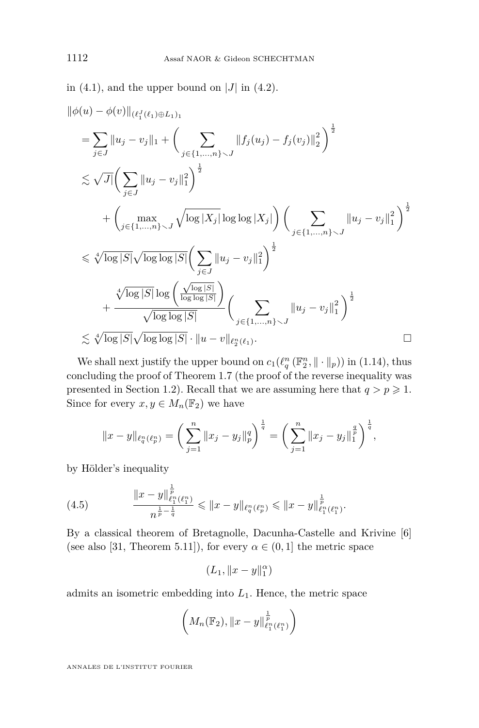in  $(4.1)$ , and the upper bound on  $|J|$  in  $(4.2)$ .

$$
\begin{split}\n&\|\phi(u) - \phi(v)\|_{(\ell_{1}^{J}(\ell_{1})\oplus L_{1})_{1}} \\
&= \sum_{j\in J} \|u_{j} - v_{j}\|_{1} + \left(\sum_{j\in\{1,\ldots,n\}\backslash J} \|f_{j}(u_{j}) - f_{j}(v_{j})\|_{2}^{2}\right)^{\frac{1}{2}} \\
&\lesssim \sqrt{J} \Big(\sum_{j\in J} \|u_{j} - v_{j}\|_{1}^{2}\Big)^{\frac{1}{2}} \\
&+ \left(\max_{j\in\{1,\ldots,n\}\backslash J} \sqrt{\log |X_{j}|} \log \log |X_{j}|\right) \left(\sum_{j\in\{1,\ldots,n\}\backslash J} \|u_{j} - v_{j}\|_{1}^{2}\right)^{\frac{1}{2}} \\
&\lesssim \sqrt[4]{\log |S|} \sqrt{\log \log |S|} \left(\sum_{j\in J} \|u_{j} - v_{j}\|_{1}^{2}\right)^{\frac{1}{2}} \\
&+ \frac{\sqrt[4]{\log |S|} \log \left(\frac{\sqrt{\log |S|}}{\log \log |S|}\right)}{\sqrt{\log \log |S|}} \left(\sum_{j\in\{1,\ldots,n\}\backslash J} \|u_{j} - v_{j}\|_{1}^{2}\right)^{\frac{1}{2}} \\
&\lesssim \sqrt[4]{\log |S|} \sqrt{\log \log |S|} \cdot \|u - v\|_{\ell_{2}^{n}(\ell_{1})}.\n\end{split}
$$

We shall next justify the upper bound on  $c_1(\ell_q^n(\mathbb{F}_2^n, \|\cdot\|_p))$  in [\(1.14\)](#page-8-4), thus concluding the proof of Theorem [1.7](#page-8-3) (the proof of the reverse inequality was presented in Section [1.2\)](#page-8-0). Recall that we are assuming here that  $q > p \geq 1$ . Since for every  $x, y \in M_n(\mathbb{F}_2)$  we have

$$
||x-y||_{\ell_q^n(\ell_p^n)} = \left(\sum_{j=1}^n ||x_j - y_j||_p^q\right)^{\frac{1}{q}} = \left(\sum_{j=1}^n ||x_j - y_j||_1^{\frac{q}{p}}\right)^{\frac{1}{q}},
$$

by Hölder's inequality

(4.5) 
$$
\frac{\|x-y\|_{\ell_1^n(\ell_1^n)}^{\frac{1}{p}}}{n^{\frac{1}{p}-\frac{1}{q}}} \leqslant \|x-y\|_{\ell_q^n(\ell_p^n)} \leqslant \|x-y\|_{\ell_1^n(\ell_1^n)}^{\frac{1}{p}}.
$$

<span id="page-20-0"></span>1

By a classical theorem of Bretagnolle, Dacunha-Castelle and Krivine [\[6\]](#page-22-7) (see also [\[31,](#page-23-20) Theorem 5.11]), for every  $\alpha \in (0,1]$  the metric space

$$
(L_1,\|x-y\|_1^\alpha)
$$

admits an isometric embedding into *L*1. Hence, the metric space

$$
\left(M_n(\mathbb{F}_2), \|x-y\|_{\ell_1^n(\ell_1^n)}^{\frac{1}{p}}\right)
$$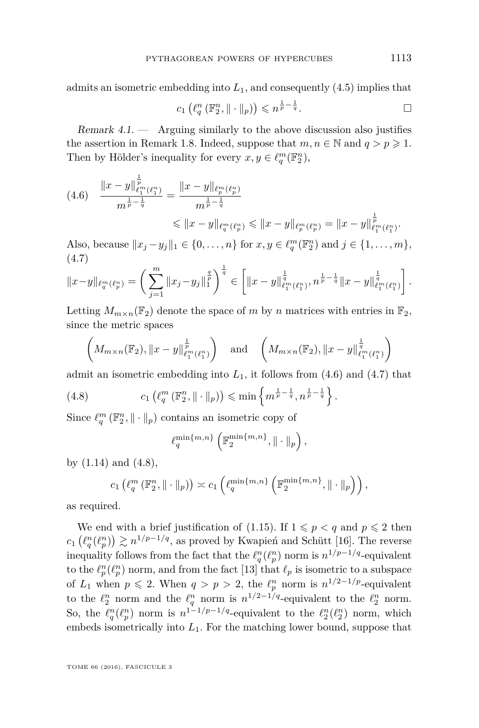admits an isometric embedding into *L*1, and consequently [\(4.5\)](#page-20-0) implies that

$$
c_1\left(\ell_q^n\left(\mathbb{F}_2^n,\|\cdot\|_p\right)\right)\leqslant n^{\frac{1}{p}-\frac{1}{q}}.
$$

<span id="page-21-0"></span>Remark  $4.1$ . — Arguing similarly to the above discussion also justifies the assertion in Remark [1.8.](#page-9-4) Indeed, suppose that  $m, n \in \mathbb{N}$  and  $q > p \geq 1$ . Then by Hölder's inequality for every  $x, y \in \ell_q^m(\mathbb{F}_2^n)$ ,

<span id="page-21-1"></span>
$$
(4.6) \quad \frac{\|x-y\|_{\ell_1^m(\ell_1^n)}^{\frac{1}{p}}}{m^{\frac{1}{p}-\frac{1}{q}}} = \frac{\|x-y\|_{\ell_p^m(\ell_p^n)}}{m^{\frac{1}{p}-\frac{1}{q}}} \leq \|x-y\|_{\ell_p^m(\ell_p^n)} \leq \|x-y\|_{\ell_p^m(\ell_p^n)}^{\frac{1}{p}} = \|x-y\|_{\ell_1^m(\ell_1^n)}^{\frac{1}{p}}.
$$

Also, because  $||x_j - y_j||_1 \in \{0, \ldots, n\}$  for  $x, y \in \ell_q^m(\mathbb{F}_2^n)$  and  $j \in \{1, \ldots, m\}$ , (4.7)

<span id="page-21-2"></span>
$$
||x-y||_{\ell_q^m(\ell_p^n)} = \left(\sum_{j=1}^m ||x_j-y_j||_1^{\frac{q}{p}}\right)^{\frac{1}{q}} \in \left[||x-y||_{\ell_1^m(\ell_1^n)}^{\frac{1}{q}}, n^{\frac{1}{p}-\frac{1}{q}}||x-y||_{\ell_1^m(\ell_1^n)}^{\frac{1}{q}}\right].
$$

Letting  $M_{m \times n}(\mathbb{F}_2)$  denote the space of *m* by *n* matrices with entries in  $\mathbb{F}_2$ , since the metric spaces

$$
\left(M_{m\times n}(\mathbb{F}_2),\|x-y\|_{\ell_1^m(\ell_1^n)}^{\frac{1}{p}}\right) \quad \text{and} \quad \left(M_{m\times n}(\mathbb{F}_2),\|x-y\|_{\ell_1^m(\ell_1^n)}^{\frac{1}{q}}\right)
$$

admit an isometric embedding into  $L_1$ , it follows from  $(4.6)$  and  $(4.7)$  that

(4.8) 
$$
c_1\left(\ell_q^m\left(\mathbb{F}_2^n,\|\cdot\|_p\right)\right) \leqslant \min\left\{m^{\frac{1}{p}-\frac{1}{q}},n^{\frac{1}{p}-\frac{1}{q}}\right\}.
$$

Since  $\ell_q^m(\mathbb{F}_2^n, \|\cdot\|_p)$  contains an isometric copy of

<span id="page-21-3"></span>
$$
\ell_q^{\min\{m,n\}}\left(\mathbb{F}_2^{\min\{m,n\}},\|\cdot\|_p\right),\,
$$

by [\(1.14\)](#page-8-4) and [\(4.8\)](#page-21-3),

$$
c_1\left(\ell_q^m\left(\mathbb{F}_2^n,\|\cdot\|_p\right)\right)\asymp c_1\left(\ell_q^{\min\{m,n\}}\left(\mathbb{F}_2^{\min\{m,n\}},\|\cdot\|_p\right)\right),
$$

as required.

We end with a brief justification of [\(1.15\)](#page-8-5). If  $1 \leqslant p < q$  and  $p \leqslant 2$  then  $c_1\left(\ell_q^n(\ell_p^n)\right) \gtrsim n^{1/p-1/q}$ , as proved by Kwapień and Schütt [\[16\]](#page-23-6). The reverse inequality follows from the fact that the  $\ell_q^n(\ell_p^n)$  norm is  $n^{1/p-1/q}$ -equivalent to the  $\ell_p^n(\ell_p^n)$  norm, and from the fact [\[13\]](#page-23-15) that  $\ell_p$  is isometric to a subspace of  $L_1$  when  $p \le 2$ . When  $q > p > 2$ , the  $\ell_p^n$  norm is  $n^{1/2-1/p}$ -equivalent to the  $\ell_2^n$  norm and the  $\ell_q^n$  norm is  $n^{1/2-1/q}$ -equivalent to the  $\ell_2^n$  norm. So, the  $\ell_q^n(\ell_p^n)$  norm is  $n^{1-1/p-1/q}$ -equivalent to the  $\ell_2^n(\ell_2^n)$  norm, which embeds isometrically into *L*1. For the matching lower bound, suppose that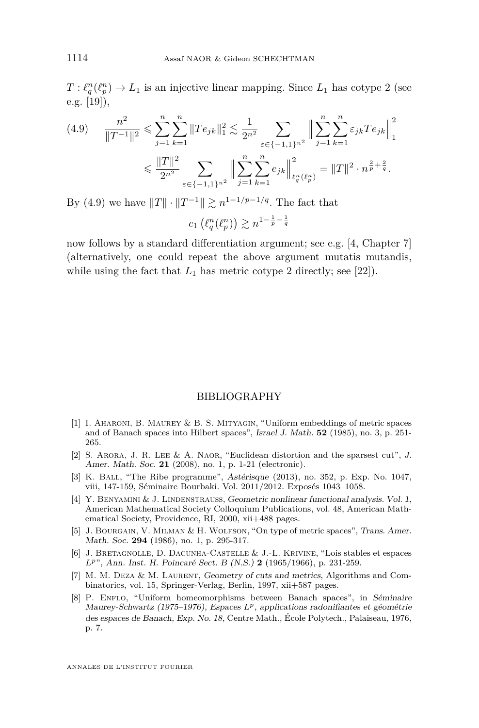$T: \ell_q^n(\ell_p^n) \to L_1$  is an injective linear mapping. Since  $L_1$  has cotype 2 (see e.g. [\[19\]](#page-23-21)),

<span id="page-22-8"></span>
$$
(4.9) \qquad \frac{n^2}{\|T^{-1}\|^2} \leqslant \sum_{j=1}^n \sum_{k=1}^n \|Te_{jk}\|_1^2 \leqslant \frac{1}{2^{n^2}} \sum_{\varepsilon \in \{-1,1\}^{n^2}} \left\| \sum_{j=1}^n \sum_{k=1}^n \varepsilon_{jk} Te_{jk} \right\|_1^2
$$

$$
\leqslant \frac{\|T\|^2}{2^{n^2}} \sum_{\varepsilon \in \{-1,1\}^{n^2}} \left\| \sum_{j=1}^n \sum_{k=1}^n e_{jk} \right\|_{\ell_q^n(\ell_p^n)}^2 = \|T\|^2 \cdot n^{\frac{2}{p} + \frac{2}{q}}.
$$

By [\(4.9\)](#page-22-8) we have  $||T|| \cdot ||T^{-1}|| \geq n^{1-1/p-1/q}$ . The fact that

 $c_1\left(\ell_q^n(\ell_p^n)\right)\gtrsim n^{1-\frac{1}{p}-\frac{1}{q}}$ 

now follows by a standard differentiation argument; see e.g. [\[4,](#page-22-1) Chapter 7] (alternatively, one could repeat the above argument mutatis mutandis, while using the fact that  $L_1$  has metric cotype 2 directly; see [\[22\]](#page-23-22)).

#### BIBLIOGRAPHY

- <span id="page-22-6"></span>[1] I. Aharoni, B. Maurey & B. S. Mityagin, "Uniform embeddings of metric spaces and of Banach spaces into Hilbert spaces", Israel J. Math. **52** (1985), no. 3, p. 251- 265.
- <span id="page-22-2"></span>[2] S. Arora, J. R. Lee & A. Naor, "Euclidean distortion and the sparsest cut", J. Amer. Math. Soc. **21** (2008), no. 1, p. 1-21 (electronic).
- <span id="page-22-3"></span>[3] K. BALL, "The Ribe programme", Astérisque (2013), no. 352, p. Exp. No. 1047, viii, 147-159, Séminaire Bourbaki. Vol. 2011/2012. Exposés 1043–1058.
- <span id="page-22-1"></span>[4] Y. BENYAMINI & J. LINDENSTRAUSS, Geometric nonlinear functional analysis. Vol. 1, American Mathematical Society Colloquium Publications, vol. 48, American Mathematical Society, Providence, RI, 2000, xii+488 pages.
- <span id="page-22-5"></span>[5] J. BOURGAIN, V. MILMAN & H. WOLFSON, "On type of metric spaces", Trans. Amer. Math. Soc. **294** (1986), no. 1, p. 295-317.
- <span id="page-22-7"></span>[6] J. Bretagnolle, D. Dacunha-Castelle & J.-L. Krivine, "Lois stables et espaces *Lp*", Ann. Inst. H. Poincaré Sect. B (N.S.) **2** (1965/1966), p. 231-259.
- <span id="page-22-0"></span>[7] M. M. DEZA & M. LAURENT, Geometry of cuts and metrics, Algorithms and Combinatorics, vol. 15, Springer-Verlag, Berlin, 1997, xii+587 pages.
- <span id="page-22-4"></span>[8] P. ENFLO, "Uniform homeomorphisms between Banach spaces", in Séminaire Maurey-Schwartz (1975–1976), Espaces *Lp*, applications radonifiantes et géométrie des espaces de Banach, Exp. No. 18, Centre Math., École Polytech., Palaiseau, 1976, p. 7.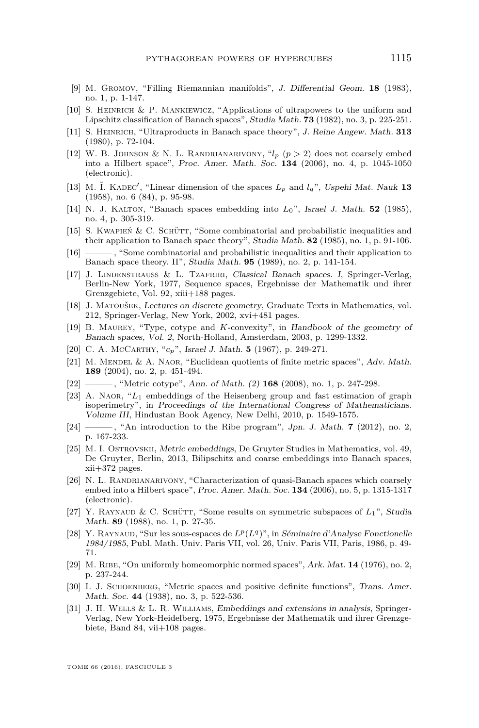- <span id="page-23-12"></span>[9] M. Gromov, "Filling Riemannian manifolds", J. Differential Geom. **18** (1983), no. 1, p. 1-147.
- <span id="page-23-8"></span>[10] S. Heinrich & P. Mankiewicz, "Applications of ultrapowers to the uniform and Lipschitz classification of Banach spaces", Studia Math. **73** (1982), no. 3, p. 225-251.
- <span id="page-23-7"></span>[11] S. Heinrich, "Ultraproducts in Banach space theory", J. Reine Angew. Math. **313** (1980), p. 72-104.
- <span id="page-23-16"></span>[12] W. B. JOHNSON & N. L. RANDRIANARIVONY,  $i_l$  ( $p > 2$ ) does not coarsely embed into a Hilbert space", Proc. Amer. Math. Soc. **134** (2006), no. 4, p. 1045-1050 (electronic).
- <span id="page-23-15"></span>[13] M. Ĭ. KADEC', "Linear dimension of the spaces  $L_p$  and  $l_q$ ", Uspehi Mat. Nauk 13 (1958), no. 6 (84), p. 95-98.
- <span id="page-23-3"></span>[14] N. J. KALTON, "Banach spaces embedding into  $L_0$ ", Israel J. Math. **52** (1985), no. 4, p. 305-319.
- <span id="page-23-9"></span>[15] S. KWAPIEŃ  $& C.$  SCHÜTT, "Some combinatorial and probabilistic inequalities and their application to Banach space theory", Studia Math. **82** (1985), no. 1, p. 91-106.
- <span id="page-23-6"></span>[16] ———, "Some combinatorial and probabilistic inequalities and their application to Banach space theory. II", Studia Math. **95** (1989), no. 2, p. 141-154.
- <span id="page-23-0"></span>[17] J. LINDENSTRAUSS & L. TZAFRIRI, Classical Banach spaces. I, Springer-Verlag, Berlin-New York, 1977, Sequence spaces, Ergebnisse der Mathematik und ihrer Grenzgebiete, Vol. 92, xiii+188 pages.
- <span id="page-23-1"></span>[18] J. Matoušek, Lectures on discrete geometry, Graduate Texts in Mathematics, vol. 212, Springer-Verlag, New York, 2002, xvi+481 pages.
- <span id="page-23-21"></span>[19] B. Maurey, "Type, cotype and *K*-convexity", in Handbook of the geometry of Banach spaces, Vol. 2, North-Holland, Amsterdam, 2003, p. 1299-1332.
- <span id="page-23-19"></span>[20] C. A. McCarthy, "*cp*", Israel J. Math. **5** (1967), p. 249-271.
- <span id="page-23-18"></span>[21] M. MENDEL & A. NAOR, "Euclidean quotients of finite metric spaces", Adv. Math. **189** (2004), no. 2, p. 451-494.
- <span id="page-23-22"></span>[22] ——— , "Metric cotype", Ann. of Math. (2) **168** (2008), no. 1, p. 247-298.
- <span id="page-23-17"></span>[23] A. Naor, "*L*<sup>1</sup> embeddings of the Heisenberg group and fast estimation of graph isoperimetry", in Proceedings of the International Congress of Mathematicians. Volume III, Hindustan Book Agency, New Delhi, 2010, p. 1549-1575.
- <span id="page-23-11"></span>[24] ——— , "An introduction to the Ribe program", Jpn. J. Math. **7** (2012), no. 2, p. 167-233.
- <span id="page-23-2"></span>[25] M. I. Ostrovskii, Metric embeddings, De Gruyter Studies in Mathematics, vol. 49, De Gruyter, Berlin, 2013, Bilipschitz and coarse embeddings into Banach spaces, xii+372 pages.
- <span id="page-23-14"></span>[26] N. L. Randrianarivony, "Characterization of quasi-Banach spaces which coarsely embed into a Hilbert space", Proc. Amer. Math. Soc. **134** (2006), no. 5, p. 1315-1317 (electronic).
- <span id="page-23-5"></span>[27] Y. RAYNAUD & C. SCHÜTT, "Some results on symmetric subspaces of  $L_1$ ", Studia Math. **89** (1988), no. 1, p. 27-35.
- <span id="page-23-4"></span>[28] Y. RAYNAUD, "Sur les sous-espaces de  $L^p(L^q)$ ", in Séminaire d'Analyse Fonctionelle 1984/1985, Publ. Math. Univ. Paris VII, vol. 26, Univ. Paris VII, Paris, 1986, p. 49- 71.
- <span id="page-23-10"></span>[29] M. Ribe, "On uniformly homeomorphic normed spaces", Ark. Mat. **14** (1976), no. 2, p. 237-244.
- <span id="page-23-13"></span>[30] I. J. SCHOENBERG, "Metric spaces and positive definite functions", Trans. Amer. Math. Soc. **44** (1938), no. 3, p. 522-536.
- <span id="page-23-20"></span>[31] J. H. Wells & L. R. Williams, Embeddings and extensions in analysis, Springer-Verlag, New York-Heidelberg, 1975, Ergebnisse der Mathematik und ihrer Grenzgebiete, Band 84, vii+108 pages.